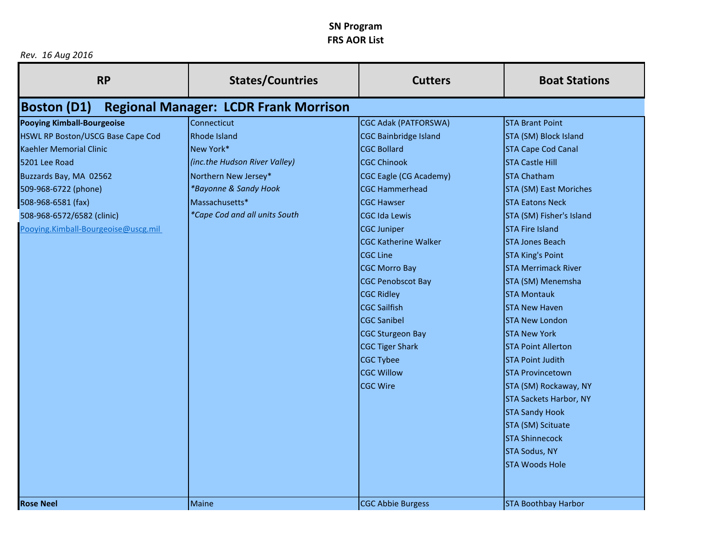*Rev. 16 Aug 2016*

| <b>RP</b>                           | <b>States/Countries</b>                      | <b>Cutters</b>               | <b>Boat Stations</b>          |
|-------------------------------------|----------------------------------------------|------------------------------|-------------------------------|
| <b>Boston (D1)</b>                  | <b>Regional Manager: LCDR Frank Morrison</b> |                              |                               |
| <b>Pooying Kimball-Bourgeoise</b>   | Connecticut                                  | <b>CGC Adak (PATFORSWA)</b>  | <b>STA Brant Point</b>        |
| HSWL RP Boston/USCG Base Cape Cod   | Rhode Island                                 | <b>CGC Bainbridge Island</b> | STA (SM) Block Island         |
| Kaehler Memorial Clinic             | New York*                                    | <b>CGC Bollard</b>           | <b>STA Cape Cod Canal</b>     |
| 5201 Lee Road                       | (inc.the Hudson River Valley)                | <b>CGC Chinook</b>           | <b>STA Castle Hill</b>        |
| Buzzards Bay, MA 02562              | Northern New Jersey*                         | CGC Eagle (CG Academy)       | <b>STA Chatham</b>            |
| 509-968-6722 (phone)                | *Bayonne & Sandy Hook                        | <b>CGC Hammerhead</b>        | <b>STA (SM) East Moriches</b> |
| 508-968-6581 (fax)                  | Massachusetts*                               | <b>CGC Hawser</b>            | <b>STA Eatons Neck</b>        |
| 508-968-6572/6582 (clinic)          | *Cape Cod and all units South                | <b>CGC Ida Lewis</b>         | STA (SM) Fisher's Island      |
| Pooying.Kimball-Bourgeoise@uscg.mil |                                              | <b>CGC Juniper</b>           | <b>STA Fire Island</b>        |
|                                     |                                              | <b>CGC Katherine Walker</b>  | <b>STA Jones Beach</b>        |
|                                     |                                              | <b>CGC Line</b>              | <b>STA King's Point</b>       |
|                                     |                                              | <b>CGC Morro Bay</b>         | <b>STA Merrimack River</b>    |
|                                     |                                              | <b>CGC Penobscot Bay</b>     | STA (SM) Menemsha             |
|                                     |                                              | <b>CGC Ridley</b>            | <b>STA Montauk</b>            |
|                                     |                                              | <b>CGC Sailfish</b>          | <b>STA New Haven</b>          |
|                                     |                                              | <b>CGC Sanibel</b>           | <b>STA New London</b>         |
|                                     |                                              | <b>CGC Sturgeon Bay</b>      | <b>STA New York</b>           |
|                                     |                                              | <b>CGC Tiger Shark</b>       | <b>STA Point Allerton</b>     |
|                                     |                                              | <b>CGC Tybee</b>             | <b>STA Point Judith</b>       |
|                                     |                                              | <b>CGC Willow</b>            | <b>STA Provincetown</b>       |
|                                     |                                              | <b>CGC Wire</b>              | STA (SM) Rockaway, NY         |
|                                     |                                              |                              | <b>STA Sackets Harbor, NY</b> |
|                                     |                                              |                              | <b>STA Sandy Hook</b>         |
|                                     |                                              |                              | STA (SM) Scituate             |
|                                     |                                              |                              | <b>STA Shinnecock</b>         |
|                                     |                                              |                              | <b>STA Sodus, NY</b>          |
|                                     |                                              |                              | <b>STA Woods Hole</b>         |
| <b>Rose Neel</b>                    | Maine                                        | <b>CGC Abbie Burgess</b>     | <b>STA Boothbay Harbor</b>    |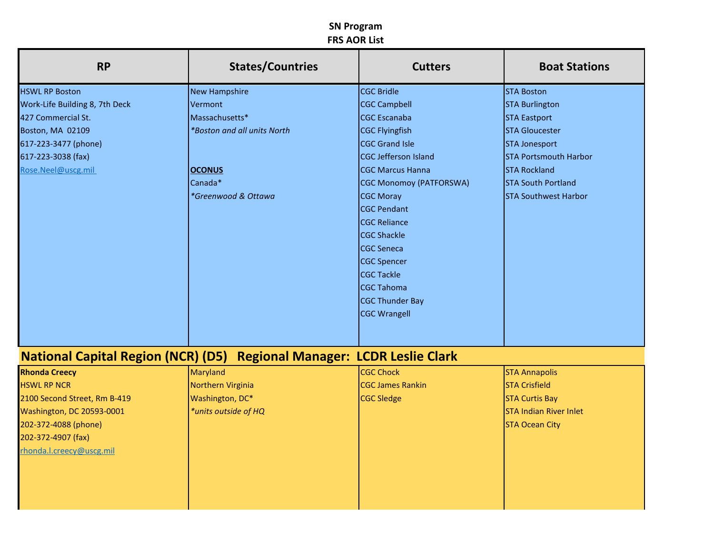| <b>RP</b>                        | <b>States/Countries</b>                                                | <b>Cutters</b>                 | <b>Boat Stations</b>          |
|----------------------------------|------------------------------------------------------------------------|--------------------------------|-------------------------------|
| <b>HSWL RP Boston</b>            | <b>New Hampshire</b>                                                   | <b>CGC Bridle</b>              | <b>STA Boston</b>             |
| Work-Life Building 8, 7th Deck   | Vermont                                                                | <b>CGC Campbell</b>            | <b>STA Burlington</b>         |
| 427 Commercial St.               | Massachusetts*                                                         | <b>CGC Escanaba</b>            | <b>STA Eastport</b>           |
| Boston, MA 02109                 | *Boston and all units North                                            | <b>CGC Flyingfish</b>          | <b>STA Gloucester</b>         |
| 617-223-3477 (phone)             |                                                                        | <b>CGC Grand Isle</b>          | <b>STA Jonesport</b>          |
| 617-223-3038 (fax)               |                                                                        | CGC Jefferson Island           | <b>STA Portsmouth Harbor</b>  |
| Rose.Neel@uscg.mil               | <b>OCONUS</b>                                                          | <b>CGC Marcus Hanna</b>        | <b>STA Rockland</b>           |
|                                  | Canada*                                                                | <b>CGC Monomoy (PATFORSWA)</b> | <b>STA South Portland</b>     |
|                                  | *Greenwood & Ottawa                                                    | <b>CGC Moray</b>               | <b>STA Southwest Harbor</b>   |
|                                  |                                                                        | <b>CGC Pendant</b>             |                               |
|                                  |                                                                        | <b>CGC Reliance</b>            |                               |
|                                  |                                                                        | <b>CGC Shackle</b>             |                               |
|                                  |                                                                        | <b>CGC Seneca</b>              |                               |
|                                  |                                                                        | <b>CGC Spencer</b>             |                               |
|                                  |                                                                        | <b>CGC Tackle</b>              |                               |
|                                  |                                                                        | <b>CGC Tahoma</b>              |                               |
|                                  |                                                                        | <b>CGC Thunder Bay</b>         |                               |
|                                  |                                                                        | <b>CGC Wrangell</b>            |                               |
|                                  |                                                                        |                                |                               |
|                                  | National Capital Region (NCR) (D5) Regional Manager: LCDR Leslie Clark |                                |                               |
| <b>Rhonda Creecy</b>             | <b>Maryland</b>                                                        | <b>CGC Chock</b>               | <b>STA Annapolis</b>          |
| <b>HSWL RP NCR</b>               | Northern Virginia                                                      | <b>CGC James Rankin</b>        | <b>STA Crisfield</b>          |
| 2100 Second Street, Rm B-419     | Washington, DC*                                                        | <b>CGC Sledge</b>              | <b>STA Curtis Bay</b>         |
| <b>Washington, DC 20593-0001</b> | *units outside of HQ                                                   |                                | <b>STA Indian River Inlet</b> |
| 202-372-4088 (phone)             |                                                                        |                                | <b>STA Ocean City</b>         |
| 202-372-4907 (fax)               |                                                                        |                                |                               |
| rhonda.l.creecy@uscg.mil         |                                                                        |                                |                               |
|                                  |                                                                        |                                |                               |
|                                  |                                                                        |                                |                               |
|                                  |                                                                        |                                |                               |
|                                  |                                                                        |                                |                               |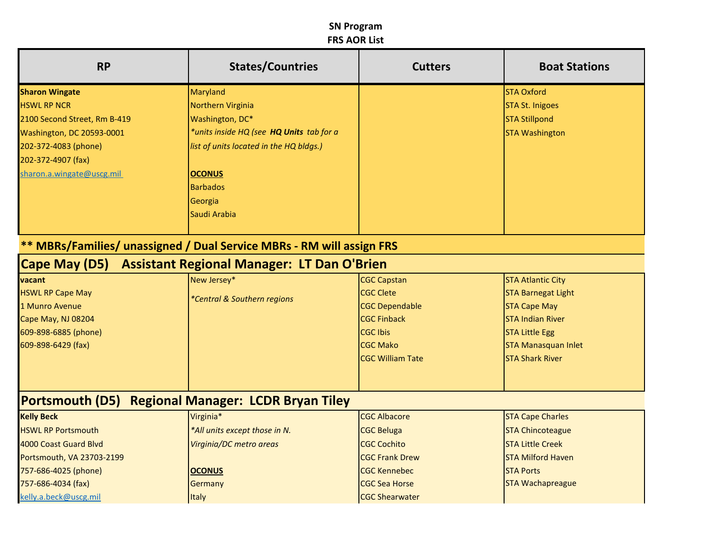| <b>RP</b>                    | <b>States/Countries</b>                                                      | <b>Cutters</b>          | <b>Boat Stations</b>       |
|------------------------------|------------------------------------------------------------------------------|-------------------------|----------------------------|
| <b>Sharon Wingate</b>        | Maryland                                                                     |                         | <b>STA Oxford</b>          |
| <b>HSWL RP NCR</b>           | Northern Virginia                                                            |                         | <b>STA St. Inigoes</b>     |
| 2100 Second Street, Rm B-419 | Washington, DC*                                                              |                         | <b>STA Stillpond</b>       |
| Washington, DC 20593-0001    | *units inside HQ (see H <b>Q Units</b> tab for a                             |                         | <b>STA Washington</b>      |
| 202-372-4083 (phone)         | list of units located in the HQ bldgs.)                                      |                         |                            |
| 202-372-4907 (fax)           |                                                                              |                         |                            |
| sharon.a.wingate@uscg.mil    | <b>OCONUS</b>                                                                |                         |                            |
|                              | <b>Barbados</b>                                                              |                         |                            |
|                              | Georgia                                                                      |                         |                            |
|                              | Saudi Arabia                                                                 |                         |                            |
|                              | <b>** MBRs/Families/ unassigned / Dual Service MBRs - RM will assign FRS</b> |                         |                            |
| Cape May (D5)                | <b>Assistant Regional Manager: LT Dan O'Brien</b>                            |                         |                            |
| vacant                       | New Jersey*                                                                  | <b>CGC Capstan</b>      | <b>STA Atlantic City</b>   |
| <b>HSWL RP Cape May</b>      | *Central & Southern regions                                                  | <b>CGC Clete</b>        | <b>STA Barnegat Light</b>  |
| 1 Munro Avenue               |                                                                              | <b>CGC Dependable</b>   | <b>STA Cape May</b>        |
| Cape May, NJ 08204           |                                                                              | <b>CGC Finback</b>      | <b>STA Indian River</b>    |
| 609-898-6885 (phone)         |                                                                              | <b>CGC Ibis</b>         | <b>STA Little Egg</b>      |
| 609-898-6429 (fax)           |                                                                              | <b>CGC Mako</b>         | <b>STA Manasquan Inlet</b> |
|                              |                                                                              | <b>CGC William Tate</b> | <b>STA Shark River</b>     |
| <b>Portsmouth (D5)</b>       | <b>Regional Manager: LCDR Bryan Tiley</b>                                    |                         |                            |
| <b>Kelly Beck</b>            | Virginia*                                                                    | <b>CGC Albacore</b>     | <b>STA Cape Charles</b>    |
| <b>HSWL RP Portsmouth</b>    | *All units except those in N.                                                | <b>CGC Beluga</b>       | <b>STA Chincoteague</b>    |
| 4000 Coast Guard Blvd        | Virginia/DC metro areas                                                      | <b>CGC Cochito</b>      | <b>STA Little Creek</b>    |
| Portsmouth, VA 23703-2199    |                                                                              | <b>CGC Frank Drew</b>   | <b>STA Milford Haven</b>   |
| 757-686-4025 (phone)         | <b>OCONUS</b>                                                                | <b>CGC Kennebec</b>     | <b>STA Ports</b>           |
| 757-686-4034 (fax)           | Germany                                                                      | <b>CGC Sea Horse</b>    | <b>STA Wachapreague</b>    |
| kelly.a.beck@uscg.mil        | <b>Italy</b>                                                                 | <b>CGC Shearwater</b>   |                            |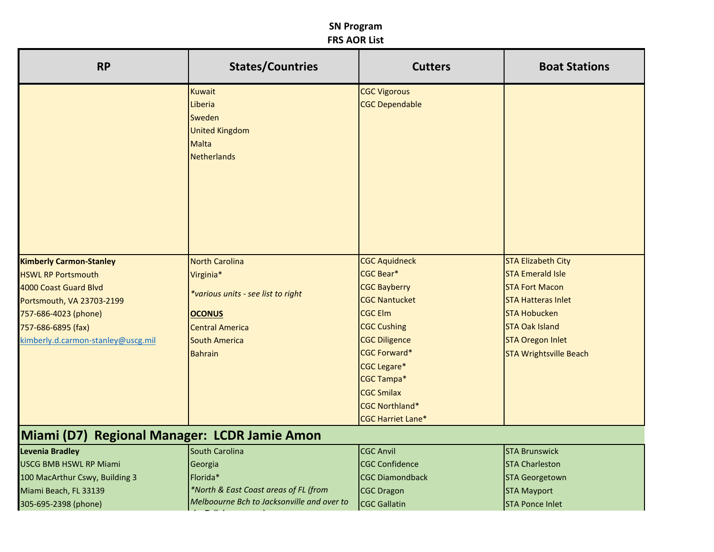| <b>RP</b>                                    | <b>States/Countries</b>                    | <b>Cutters</b>           | <b>Boat Stations</b>          |
|----------------------------------------------|--------------------------------------------|--------------------------|-------------------------------|
|                                              | <b>Kuwait</b>                              | <b>CGC Vigorous</b>      |                               |
|                                              | Liberia                                    | <b>CGC Dependable</b>    |                               |
|                                              | Sweden                                     |                          |                               |
|                                              | <b>United Kingdom</b>                      |                          |                               |
|                                              | Malta                                      |                          |                               |
|                                              | <b>Netherlands</b>                         |                          |                               |
|                                              |                                            |                          |                               |
|                                              |                                            |                          |                               |
|                                              |                                            |                          |                               |
|                                              |                                            |                          |                               |
|                                              |                                            |                          |                               |
|                                              |                                            |                          |                               |
| <b>Kimberly Carmon-Stanley</b>               | <b>North Carolina</b>                      | <b>CGC Aquidneck</b>     | <b>STA Elizabeth City</b>     |
| <b>HSWL RP Portsmouth</b>                    | Virginia*                                  | CGC Bear*                | <b>STA Emerald Isle</b>       |
| 4000 Coast Guard Blvd                        |                                            | <b>CGC Bayberry</b>      | <b>STA Fort Macon</b>         |
| Portsmouth, VA 23703-2199                    | *various units - see list to right         | <b>CGC Nantucket</b>     | <b>STA Hatteras Inlet</b>     |
| 757-686-4023 (phone)                         | <b>OCONUS</b>                              | <b>CGC Elm</b>           | <b>STA Hobucken</b>           |
| 757-686-6895 (fax)                           | <b>Central America</b>                     | <b>CGC Cushing</b>       | <b>STA Oak Island</b>         |
| kimberly.d.carmon-stanley@uscg.mil           | <b>South America</b>                       | <b>CGC Diligence</b>     | <b>STA Oregon Inlet</b>       |
|                                              | <b>Bahrain</b>                             | <b>CGC Forward*</b>      | <b>STA Wrightsville Beach</b> |
|                                              |                                            | <b>CGC Legare*</b>       |                               |
|                                              |                                            | <b>CGC Tampa*</b>        |                               |
|                                              |                                            | <b>CGC Smilax</b>        |                               |
|                                              |                                            | <b>CGC Northland*</b>    |                               |
|                                              |                                            | <b>CGC Harriet Lane*</b> |                               |
| Miami (D7) Regional Manager: LCDR Jamie Amon |                                            |                          |                               |
| <b>Levenia Bradley</b>                       | <b>South Carolina</b>                      | <b>CGC Anvil</b>         | <b>STA Brunswick</b>          |
| <b>USCG BMB HSWL RP Miami</b>                | Georgia                                    | <b>CGC Confidence</b>    | <b>STA Charleston</b>         |
| 100 MacArthur Cswy, Building 3               | Florida*                                   | <b>CGC Diamondback</b>   | <b>STA Georgetown</b>         |
| Miami Beach, FL 33139                        | *North & East Coast areas of FL (from      | <b>CGC Dragon</b>        | <b>STA Mayport</b>            |
| 305-695-2398 (phone)                         | Melboourne Bch to Jacksonville and over to | <b>CGC Gallatin</b>      | <b>STA Ponce Inlet</b>        |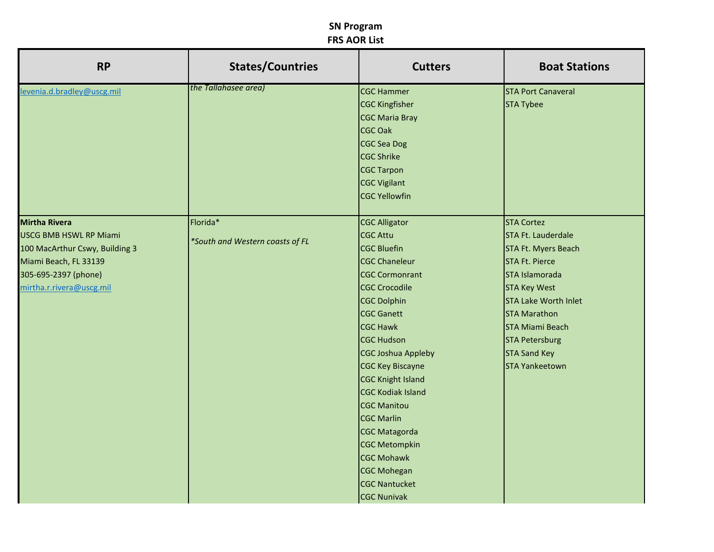| <b>RP</b>                      | <b>States/Countries</b>         | <b>Cutters</b>            | <b>Boat Stations</b>        |
|--------------------------------|---------------------------------|---------------------------|-----------------------------|
| levenia.d.bradley@uscg.mil     | the Tallahasee area)            | <b>CGC Hammer</b>         | <b>STA Port Canaveral</b>   |
|                                |                                 | <b>CGC Kingfisher</b>     | <b>STA Tybee</b>            |
|                                |                                 | <b>CGC Maria Bray</b>     |                             |
|                                |                                 | CGC Oak                   |                             |
|                                |                                 | CGC Sea Dog               |                             |
|                                |                                 | <b>CGC Shrike</b>         |                             |
|                                |                                 | <b>CGC Tarpon</b>         |                             |
|                                |                                 | <b>CGC Vigilant</b>       |                             |
|                                |                                 | <b>CGC Yellowfin</b>      |                             |
|                                |                                 |                           |                             |
| <b>Mirtha Rivera</b>           | Florida*                        | <b>CGC Alligator</b>      | <b>STA Cortez</b>           |
| <b>USCG BMB HSWL RP Miami</b>  | *South and Western coasts of FL | <b>CGC Attu</b>           | STA Ft. Lauderdale          |
| 100 MacArthur Cswy, Building 3 |                                 | <b>CGC Bluefin</b>        | STA Ft. Myers Beach         |
| Miami Beach, FL 33139          |                                 | <b>CGC Chaneleur</b>      | <b>STA Ft. Pierce</b>       |
| 305-695-2397 (phone)           |                                 | <b>CGC Cormonrant</b>     | STA Islamorada              |
| mirtha.r.rivera@uscg.mil       |                                 | <b>CGC Crocodile</b>      | <b>STA Key West</b>         |
|                                |                                 | <b>CGC Dolphin</b>        | <b>STA Lake Worth Inlet</b> |
|                                |                                 | <b>CGC Ganett</b>         | <b>STA Marathon</b>         |
|                                |                                 | <b>CGC Hawk</b>           | <b>STA Miami Beach</b>      |
|                                |                                 | <b>CGC Hudson</b>         | <b>STA Petersburg</b>       |
|                                |                                 | <b>CGC Joshua Appleby</b> | <b>STA Sand Key</b>         |
|                                |                                 | <b>CGC Key Biscayne</b>   | <b>STA Yankeetown</b>       |
|                                |                                 | <b>CGC Knight Island</b>  |                             |
|                                |                                 | <b>CGC Kodiak Island</b>  |                             |
|                                |                                 | <b>CGC Manitou</b>        |                             |
|                                |                                 | <b>CGC Marlin</b>         |                             |
|                                |                                 | <b>CGC Matagorda</b>      |                             |
|                                |                                 | <b>CGC Metompkin</b>      |                             |
|                                |                                 | <b>CGC Mohawk</b>         |                             |
|                                |                                 | <b>CGC Mohegan</b>        |                             |
|                                |                                 | <b>CGC Nantucket</b>      |                             |
|                                |                                 | <b>CGC Nunivak</b>        |                             |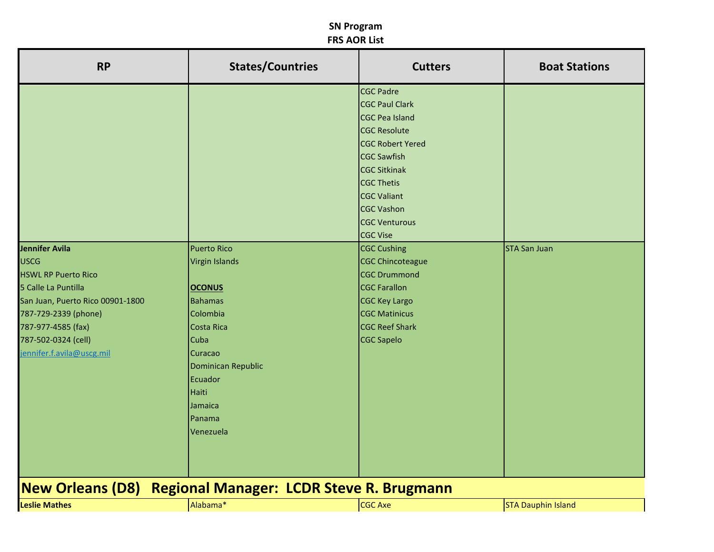| <b>RP</b>                                                                                                                                                                                                                | <b>States/Countries</b>                                                                                                                                                                                 | <b>Cutters</b>                                                                                                                                                                                                                                                                                                                                                                                                                                                            | <b>Boat Stations</b>      |
|--------------------------------------------------------------------------------------------------------------------------------------------------------------------------------------------------------------------------|---------------------------------------------------------------------------------------------------------------------------------------------------------------------------------------------------------|---------------------------------------------------------------------------------------------------------------------------------------------------------------------------------------------------------------------------------------------------------------------------------------------------------------------------------------------------------------------------------------------------------------------------------------------------------------------------|---------------------------|
| Jennifer Avila<br><b>USCG</b><br><b>HSWL RP Puerto Rico</b><br>5 Calle La Puntilla<br>San Juan, Puerto Rico 00901-1800<br>787-729-2339 (phone)<br>787-977-4585 (fax)<br>787-502-0324 (cell)<br>jennifer.f.avila@uscg.mil | <b>Puerto Rico</b><br><b>Virgin Islands</b><br><b>OCONUS</b><br><b>Bahamas</b><br>Colombia<br>Costa Rica<br>Cuba<br>Curacao<br>Dominican Republic<br>Ecuador<br>Haiti<br>Jamaica<br>Panama<br>Venezuela | <b>CGC Padre</b><br><b>CGC Paul Clark</b><br><b>CGC Pea Island</b><br><b>CGC Resolute</b><br><b>CGC Robert Yered</b><br><b>CGC Sawfish</b><br><b>CGC Sitkinak</b><br><b>CGC Thetis</b><br><b>CGC Valiant</b><br><b>CGC Vashon</b><br><b>CGC Venturous</b><br><b>CGC Vise</b><br><b>CGC Cushing</b><br><b>CGC Chincoteague</b><br><b>CGC Drummond</b><br><b>CGC Farallon</b><br><b>CGC Key Largo</b><br><b>CGC Matinicus</b><br><b>CGC Reef Shark</b><br><b>CGC Sapelo</b> | <b>STA San Juan</b>       |
| <b>New Orleans (D8)</b>                                                                                                                                                                                                  | <b>Regional Manager: LCDR Steve R. Brugmann</b>                                                                                                                                                         |                                                                                                                                                                                                                                                                                                                                                                                                                                                                           |                           |
| <b>Leslie Mathes</b>                                                                                                                                                                                                     | Alabama*                                                                                                                                                                                                | CGC Axe                                                                                                                                                                                                                                                                                                                                                                                                                                                                   | <b>STA Dauphin Island</b> |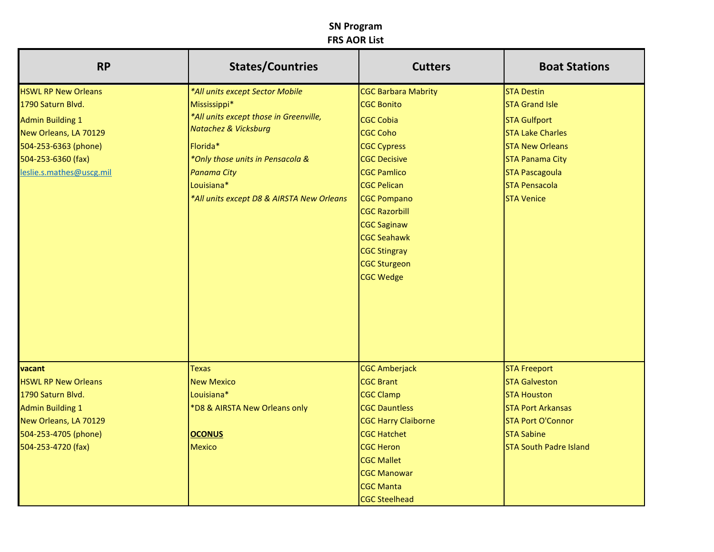| <b>RP</b>                  | <b>States/Countries</b>                   | <b>Cutters</b>             | <b>Boat Stations</b>          |
|----------------------------|-------------------------------------------|----------------------------|-------------------------------|
| <b>HSWL RP New Orleans</b> | *All units except Sector Mobile           | <b>CGC Barbara Mabrity</b> | <b>STA Destin</b>             |
| 1790 Saturn Blvd.          | Mississippi*                              | <b>CGC Bonito</b>          | <b>STA Grand Isle</b>         |
| <b>Admin Building 1</b>    | *All units except those in Greenville,    | <b>CGC Cobia</b>           | <b>STA Gulfport</b>           |
| New Orleans, LA 70129      | <b>Natachez &amp; Vicksburg</b>           | <b>CGC Coho</b>            | <b>STA Lake Charles</b>       |
| 504-253-6363 (phone)       | Florida*                                  | <b>CGC Cypress</b>         | <b>STA New Orleans</b>        |
| 504-253-6360 (fax)         | *Only those units in Pensacola &          | <b>CGC Decisive</b>        | <b>STA Panama City</b>        |
| leslie.s.mathes@uscg.mil   | <b>Panama City</b>                        | <b>CGC Pamlico</b>         | <b>STA Pascagoula</b>         |
|                            | Louisiana*                                | <b>CGC Pelican</b>         | <b>STA Pensacola</b>          |
|                            | *All units except D8 & AIRSTA New Orleans | <b>CGC Pompano</b>         | <b>STA Venice</b>             |
|                            |                                           | <b>CGC Razorbill</b>       |                               |
|                            |                                           | <b>CGC Saginaw</b>         |                               |
|                            |                                           | <b>CGC Seahawk</b>         |                               |
|                            |                                           | <b>CGC Stingray</b>        |                               |
|                            |                                           | <b>CGC Sturgeon</b>        |                               |
|                            |                                           | <b>CGC Wedge</b>           |                               |
|                            |                                           |                            |                               |
|                            |                                           |                            |                               |
|                            |                                           |                            |                               |
| vacant                     | <b>Texas</b>                              | <b>CGC Amberjack</b>       | <b>STA Freeport</b>           |
| <b>HSWL RP New Orleans</b> | <b>New Mexico</b>                         | <b>CGC Brant</b>           | <b>STA Galveston</b>          |
| 1790 Saturn Blvd.          | Louisiana*                                | <b>CGC Clamp</b>           | <b>STA Houston</b>            |
| <b>Admin Building 1</b>    | *D8 & AIRSTA New Orleans only             | <b>CGC Dauntless</b>       | <b>STA Port Arkansas</b>      |
| New Orleans, LA 70129      |                                           | <b>CGC Harry Claiborne</b> | <b>STA Port O'Connor</b>      |
| 504-253-4705 (phone)       | <b>OCONUS</b>                             | <b>CGC Hatchet</b>         | <b>STA Sabine</b>             |
| 504-253-4720 (fax)         | <b>Mexico</b>                             | <b>CGC Heron</b>           | <b>STA South Padre Island</b> |
|                            |                                           | <b>CGC Mallet</b>          |                               |
|                            |                                           | <b>CGC Manowar</b>         |                               |
|                            |                                           | <b>CGC Manta</b>           |                               |
|                            |                                           | <b>CGC Steelhead</b>       |                               |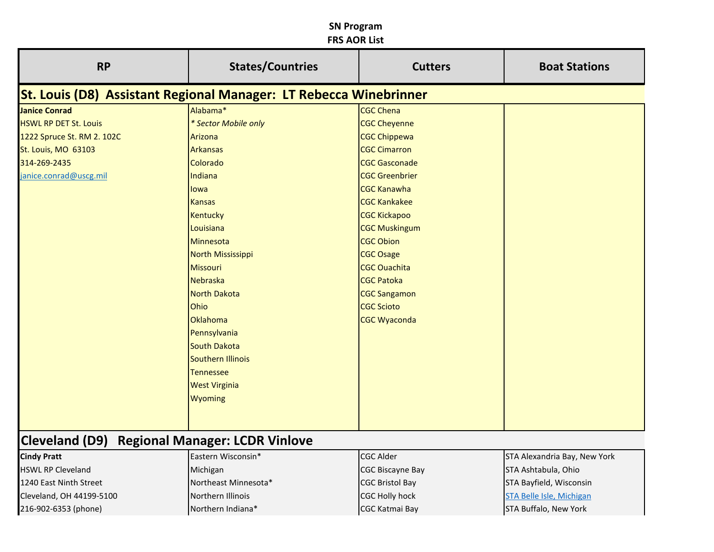| <b>RP</b>                                                                | <b>States/Countries</b> | <b>Cutters</b>        | <b>Boat Stations</b> |
|--------------------------------------------------------------------------|-------------------------|-----------------------|----------------------|
| <b>St. Louis (D8) Assistant Regional Manager: LT Rebecca Winebrinner</b> |                         |                       |                      |
| <b>Janice Conrad</b>                                                     | Alabama*                | <b>CGC Chena</b>      |                      |
| <b>HSWL RP DET St. Louis</b>                                             | * Sector Mobile only    | <b>CGC Cheyenne</b>   |                      |
| 1222 Spruce St. RM 2. 102C                                               | Arizona                 | <b>CGC Chippewa</b>   |                      |
| St. Louis, MO 63103                                                      | <b>Arkansas</b>         | <b>CGC Cimarron</b>   |                      |
| 314-269-2435                                                             | Colorado                | <b>CGC Gasconade</b>  |                      |
| janice.conrad@uscg.mil                                                   | Indiana                 | <b>CGC Greenbrier</b> |                      |
|                                                                          | lowa                    | <b>CGC Kanawha</b>    |                      |
|                                                                          | <b>Kansas</b>           | <b>CGC Kankakee</b>   |                      |
|                                                                          | <b>Kentucky</b>         | <b>CGC Kickapoo</b>   |                      |
|                                                                          | Louisiana               | <b>CGC Muskingum</b>  |                      |
|                                                                          | Minnesota               | <b>CGC Obion</b>      |                      |
|                                                                          | North Mississippi       | <b>CGC Osage</b>      |                      |
|                                                                          | Missouri                | <b>CGC Ouachita</b>   |                      |
|                                                                          | Nebraska                | <b>CGC Patoka</b>     |                      |
|                                                                          | <b>North Dakota</b>     | <b>CGC Sangamon</b>   |                      |
|                                                                          | Ohio                    | <b>CGC Scioto</b>     |                      |
|                                                                          | Oklahoma                | <b>CGC Wyaconda</b>   |                      |
|                                                                          | Pennsylvania            |                       |                      |
|                                                                          | <b>South Dakota</b>     |                       |                      |
|                                                                          | Southern Illinois       |                       |                      |
|                                                                          | <b>Tennessee</b>        |                       |                      |
|                                                                          | <b>West Virginia</b>    |                       |                      |
|                                                                          | <b>Wyoming</b>          |                       |                      |
|                                                                          |                         |                       |                      |
|                                                                          |                         |                       |                      |

# **Cleveland (D9) Regional Manager: LCDR Vinlove**

| <b>Cindy Pratt</b>       | Eastern Wisconsin*   | <b>CGC Alder</b>        | STA Alexandria Bay, New York    |
|--------------------------|----------------------|-------------------------|---------------------------------|
| <b>HSWL RP Cleveland</b> | Michigan             | <b>CGC Biscayne Bay</b> | STA Ashtabula, Ohio             |
| 1240 East Ninth Street   | Northeast Minnesota* | <b>CGC Bristol Bay</b>  | STA Bayfield, Wisconsin         |
| Cleveland, OH 44199-5100 | Northern Illinois    | <b>ICGC Holly hock</b>  | <b>STA Belle Isle, Michigan</b> |
| 216-902-6353 (phone)     | Northern Indiana*    | <b>CGC Katmai Bay</b>   | <b>STA Buffalo, New York</b>    |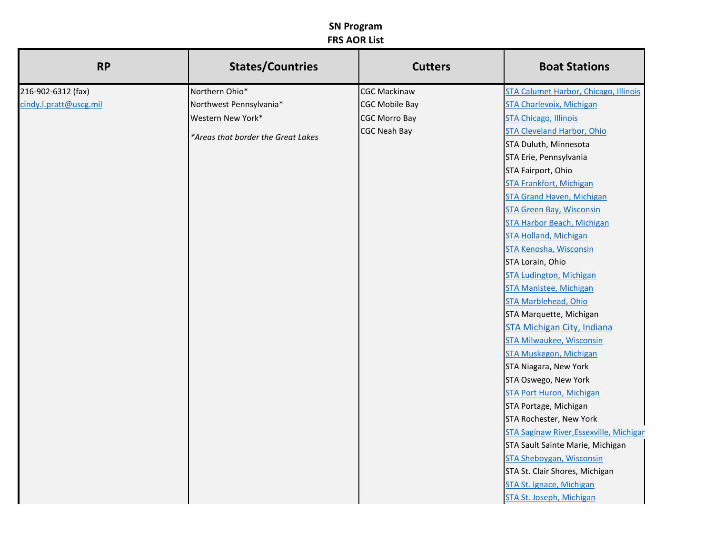| <b>RP</b>              | <b>States/Countries</b>            | <b>Cutters</b>        | <b>Boat Stations</b>                    |
|------------------------|------------------------------------|-----------------------|-----------------------------------------|
| 216-902-6312 (fax)     | Northern Ohio*                     | <b>CGC Mackinaw</b>   | STA Calumet Harbor, Chicago, Illinois   |
| cindy.l.pratt@uscg.mil | Northwest Pennsylvania*            | <b>CGC Mobile Bay</b> | <b>STA Charlevoix, Michigan</b>         |
|                        | Western New York*                  | <b>CGC Morro Bay</b>  | <b>STA Chicago, Illinois</b>            |
|                        | *Areas that border the Great Lakes | <b>CGC Neah Bay</b>   | <b>STA Cleveland Harbor, Ohio</b>       |
|                        |                                    |                       | STA Duluth, Minnesota                   |
|                        |                                    |                       | STA Erie, Pennsylvania                  |
|                        |                                    |                       | STA Fairport, Ohio                      |
|                        |                                    |                       | <b>STA Frankfort, Michigan</b>          |
|                        |                                    |                       | <b>STA Grand Haven, Michigan</b>        |
|                        |                                    |                       | <b>STA Green Bay, Wisconsin</b>         |
|                        |                                    |                       | <b>STA Harbor Beach, Michigan</b>       |
|                        |                                    |                       | <b>STA Holland, Michigan</b>            |
|                        |                                    |                       | STA Kenosha, Wisconsin                  |
|                        |                                    |                       | STA Lorain, Ohio                        |
|                        |                                    |                       | <b>STA Ludington, Michigan</b>          |
|                        |                                    |                       | <b>STA Manistee, Michigan</b>           |
|                        |                                    |                       | <b>STA Marblehead, Ohio</b>             |
|                        |                                    |                       | STA Marquette, Michigan                 |
|                        |                                    |                       | STA Michigan City, Indiana              |
|                        |                                    |                       | <b>STA Milwaukee, Wisconsin</b>         |
|                        |                                    |                       | STA Muskegon, Michigan                  |
|                        |                                    |                       | STA Niagara, New York                   |
|                        |                                    |                       | STA Oswego, New York                    |
|                        |                                    |                       | <b>STA Port Huron, Michigan</b>         |
|                        |                                    |                       | STA Portage, Michigan                   |
|                        |                                    |                       | STA Rochester, New York                 |
|                        |                                    |                       | STA Saginaw River, Essexville, Michigan |
|                        |                                    |                       | STA Sault Sainte Marie, Michigan        |
|                        |                                    |                       | <b>STA Sheboygan, Wisconsin</b>         |
|                        |                                    |                       | STA St. Clair Shores, Michigan          |
|                        |                                    |                       | STA St. Ignace, Michigan                |
|                        |                                    |                       | STA St. Joseph, Michigan                |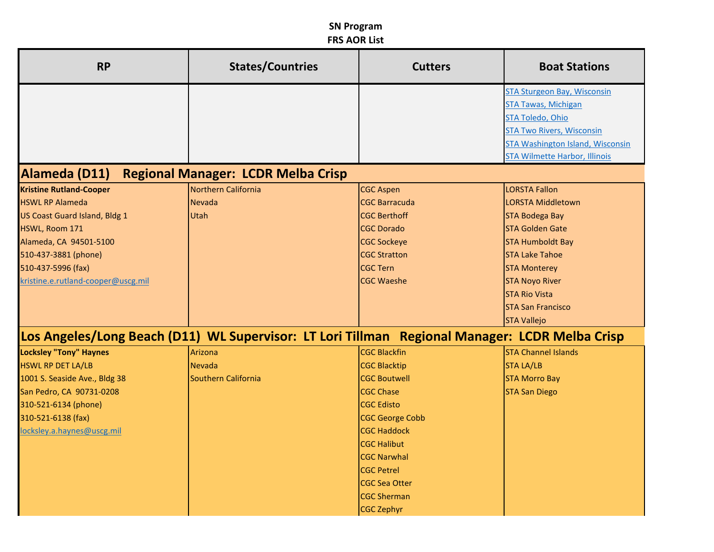| <b>RP</b>                            | <b>States/Countries</b>                                                                        | <b>Cutters</b>         | <b>Boat Stations</b>                    |
|--------------------------------------|------------------------------------------------------------------------------------------------|------------------------|-----------------------------------------|
|                                      |                                                                                                |                        | STA Sturgeon Bay, Wisconsin             |
|                                      |                                                                                                |                        | <b>STA Tawas, Michigan</b>              |
|                                      |                                                                                                |                        | <b>STA Toledo, Ohio</b>                 |
|                                      |                                                                                                |                        | <b>STA Two Rivers, Wisconsin</b>        |
|                                      |                                                                                                |                        | <b>STA Washington Island, Wisconsin</b> |
|                                      |                                                                                                |                        | <b>STA Wilmette Harbor, Illinois</b>    |
| Alameda (D11)                        | <b>Regional Manager: LCDR Melba Crisp</b>                                                      |                        |                                         |
| <b>Kristine Rutland-Cooper</b>       | Northern California                                                                            | <b>CGC Aspen</b>       | <b>LORSTA Fallon</b>                    |
| <b>HSWL RP Alameda</b>               | <b>Nevada</b>                                                                                  | <b>CGC Barracuda</b>   | <b>LORSTA Middletown</b>                |
| <b>US Coast Guard Island, Bldg 1</b> | Utah                                                                                           | <b>CGC Berthoff</b>    | <b>STA Bodega Bay</b>                   |
| HSWL, Room 171                       |                                                                                                | <b>CGC Dorado</b>      | <b>STA Golden Gate</b>                  |
| Alameda, CA 94501-5100               |                                                                                                | <b>CGC Sockeye</b>     | <b>STA Humboldt Bay</b>                 |
| 510-437-3881 (phone)                 |                                                                                                | <b>CGC Stratton</b>    | <b>STA Lake Tahoe</b>                   |
| 510-437-5996 (fax)                   |                                                                                                | <b>CGC Tern</b>        | <b>STA Monterey</b>                     |
| kristine.e.rutland-cooper@uscg.mil   |                                                                                                | <b>CGC Waeshe</b>      | <b>STA Noyo River</b>                   |
|                                      |                                                                                                |                        | <b>STA Rio Vista</b>                    |
|                                      |                                                                                                |                        | <b>STA San Francisco</b>                |
|                                      |                                                                                                |                        | <b>STA Vallejo</b>                      |
|                                      | Los Angeles/Long Beach (D11) WL Supervisor: LT Lori Tillman Regional Manager: LCDR Melba Crisp |                        |                                         |
| <b>Locksley "Tony" Haynes</b>        | Arizona                                                                                        | <b>CGC Blackfin</b>    | <b>STA Channel Islands</b>              |
| <b>HSWL RP DET LA/LB</b>             | <b>Nevada</b>                                                                                  | <b>CGC Blacktip</b>    | <b>STA LA/LB</b>                        |
| 1001 S. Seaside Ave., Bldg 38        | Southern California                                                                            | <b>CGC Boutwell</b>    | <b>STA Morro Bay</b>                    |
| San Pedro, CA 90731-0208             |                                                                                                | <b>CGC Chase</b>       | <b>STA San Diego</b>                    |
| 310-521-6134 (phone)                 |                                                                                                | <b>CGC Edisto</b>      |                                         |
| 310-521-6138 (fax)                   |                                                                                                | <b>CGC George Cobb</b> |                                         |
| locksley.a.haynes@uscg.mil           |                                                                                                | <b>CGC Haddock</b>     |                                         |
|                                      |                                                                                                | <b>CGC Halibut</b>     |                                         |
|                                      |                                                                                                | <b>CGC Narwhal</b>     |                                         |
|                                      |                                                                                                | <b>CGC Petrel</b>      |                                         |
|                                      |                                                                                                | <b>CGC Sea Otter</b>   |                                         |
|                                      |                                                                                                | <b>CGC Sherman</b>     |                                         |
|                                      |                                                                                                | <b>CGC Zephyr</b>      |                                         |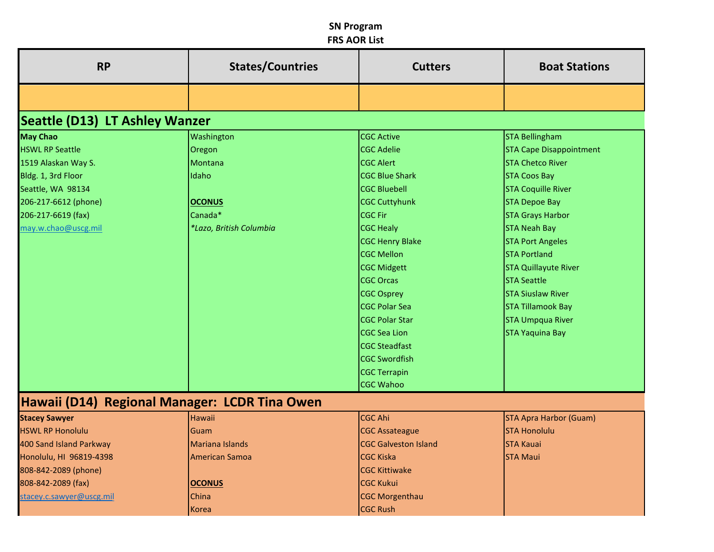| <b>RP</b>                                     | <b>States/Countries</b> | <b>Cutters</b>              | <b>Boat Stations</b>           |  |  |  |
|-----------------------------------------------|-------------------------|-----------------------------|--------------------------------|--|--|--|
|                                               |                         |                             |                                |  |  |  |
| <b>Seattle (D13) LT Ashley Wanzer</b>         |                         |                             |                                |  |  |  |
| <b>May Chao</b>                               | Washington              | <b>CGC Active</b>           | <b>STA Bellingham</b>          |  |  |  |
| <b>HSWL RP Seattle</b>                        | Oregon                  | <b>CGC Adelie</b>           | <b>STA Cape Disappointment</b> |  |  |  |
| 1519 Alaskan Way S.                           | Montana                 | <b>CGC Alert</b>            | <b>STA Chetco River</b>        |  |  |  |
| Bldg. 1, 3rd Floor                            | Idaho                   | <b>CGC Blue Shark</b>       | <b>STA Coos Bay</b>            |  |  |  |
| Seattle, WA 98134                             |                         | <b>CGC Bluebell</b>         | <b>STA Coquille River</b>      |  |  |  |
| 206-217-6612 (phone)                          | <b>OCONUS</b>           | <b>CGC Cuttyhunk</b>        | <b>STA Depoe Bay</b>           |  |  |  |
| 206-217-6619 (fax)                            | Canada*                 | <b>CGC Fir</b>              | <b>STA Grays Harbor</b>        |  |  |  |
| may.w.chao@uscg.mil                           | *Lazo, British Columbia | <b>CGC Healy</b>            | <b>STA Neah Bay</b>            |  |  |  |
|                                               |                         | <b>CGC Henry Blake</b>      | <b>STA Port Angeles</b>        |  |  |  |
|                                               |                         | <b>CGC Mellon</b>           | <b>STA Portland</b>            |  |  |  |
|                                               |                         | <b>CGC Midgett</b>          | <b>STA Quillayute River</b>    |  |  |  |
|                                               |                         | <b>CGC Orcas</b>            | <b>STA Seattle</b>             |  |  |  |
|                                               |                         | <b>CGC Osprey</b>           | <b>STA Siuslaw River</b>       |  |  |  |
|                                               |                         | <b>CGC Polar Sea</b>        | <b>STA Tillamook Bay</b>       |  |  |  |
|                                               |                         | <b>CGC Polar Star</b>       | <b>STA Umpqua River</b>        |  |  |  |
|                                               |                         | <b>CGC Sea Lion</b>         | <b>STA Yaquina Bay</b>         |  |  |  |
|                                               |                         | <b>CGC Steadfast</b>        |                                |  |  |  |
|                                               |                         | <b>CGC Swordfish</b>        |                                |  |  |  |
|                                               |                         | <b>CGC Terrapin</b>         |                                |  |  |  |
|                                               |                         | <b>CGC Wahoo</b>            |                                |  |  |  |
| Hawaii (D14) Regional Manager: LCDR Tina Owen |                         |                             |                                |  |  |  |
| <b>Stacey Sawyer</b>                          | Hawaii                  | <b>CGC Ahi</b>              | <b>STA Apra Harbor (Guam)</b>  |  |  |  |
| <b>HSWL RP Honolulu</b>                       | Guam                    | <b>CGC Assateague</b>       | <b>STA Honolulu</b>            |  |  |  |
| 400 Sand Island Parkway                       | <b>Mariana Islands</b>  | <b>CGC Galveston Island</b> | <b>STA Kauai</b>               |  |  |  |
| Honolulu, HI 96819-4398                       | American Samoa          | <b>CGC Kiska</b>            | <b>STA Maui</b>                |  |  |  |
| 808-842-2089 (phone)                          |                         | <b>CGC Kittiwake</b>        |                                |  |  |  |
| 808-842-2089 (fax)                            | <b>OCONUS</b>           | <b>CGC Kukui</b>            |                                |  |  |  |
| stacey.c.sawyer@uscg.mil                      | China                   | <b>CGC Morgenthau</b>       |                                |  |  |  |
|                                               | Korea                   | CGC Rush                    |                                |  |  |  |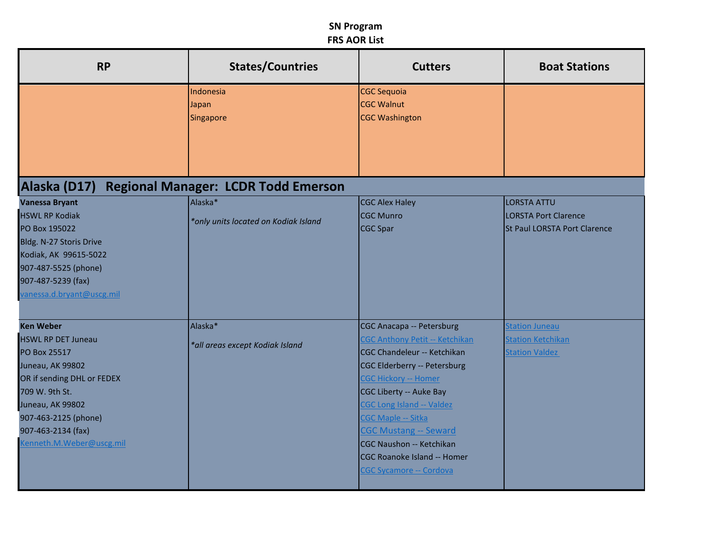| <b>RP</b>                                                                                                                                                                                                                       | <b>States/Countries</b>                         | <b>Cutters</b>                                                                                                                                                                                                                                                                                                                                                       | <b>Boat Stations</b>                                                              |
|---------------------------------------------------------------------------------------------------------------------------------------------------------------------------------------------------------------------------------|-------------------------------------------------|----------------------------------------------------------------------------------------------------------------------------------------------------------------------------------------------------------------------------------------------------------------------------------------------------------------------------------------------------------------------|-----------------------------------------------------------------------------------|
|                                                                                                                                                                                                                                 | Indonesia<br>Japan<br>Singapore                 | <b>CGC Sequoia</b><br><b>CGC Walnut</b><br><b>CGC Washington</b>                                                                                                                                                                                                                                                                                                     |                                                                                   |
| Alaska (D17)                                                                                                                                                                                                                    | <b>Regional Manager: LCDR Todd Emerson</b>      |                                                                                                                                                                                                                                                                                                                                                                      |                                                                                   |
| <b>Vanessa Bryant</b><br><b>HSWL RP Kodiak</b><br>PO Box 195022<br>Bldg. N-27 Storis Drive<br>Kodiak, AK 99615-5022<br>907-487-5525 (phone)<br>907-487-5239 (fax)<br>vanessa.d.bryant@uscg.mil                                  | Alaska*<br>*only units located on Kodiak Island | <b>CGC Alex Haley</b><br>CGC Munro<br>CGC Spar                                                                                                                                                                                                                                                                                                                       | <b>LORSTA ATTU</b><br><b>LORSTA Port Clarence</b><br>St Paul LORSTA Port Clarence |
| <b>Ken Weber</b><br><b>HSWL RP DET Juneau</b><br>PO Box 25517<br>Juneau, AK 99802<br>OR if sending DHL or FEDEX<br>709 W. 9th St.<br>Juneau, AK 99802<br>907-463-2125 (phone)<br>907-463-2134 (fax)<br>Kenneth.M.Weber@uscg.mil | Alaska*<br>*all areas except Kodiak Island      | CGC Anacapa -- Petersburg<br>CGC Anthony Petit -- Ketchikan<br>CGC Chandeleur -- Ketchikan<br>CGC Elderberry -- Petersburg<br><b>CGC Hickory -- Homer</b><br>CGC Liberty -- Auke Bay<br><b>CGC Long Island -- Valdez</b><br>CGC Maple -- Sitka<br><b>CGC Mustang -- Seward</b><br>CGC Naushon -- Ketchikan<br>CGC Roanoke Island -- Homer<br>CGC Sycamore -- Cordova | <b>Station Juneau</b><br><b>Station Ketchikan</b><br><b>Station Valdez</b>        |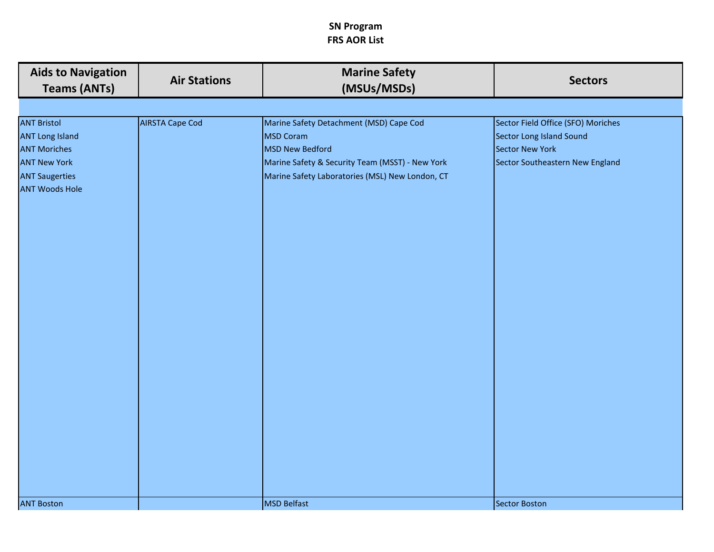| <b>Aids to Navigation</b><br><b>Teams (ANTs)</b>                                                                                             | <b>Air Stations</b>    | <b>Marine Safety</b><br>(MSUs/MSDs)                                                                                                                                                         | <b>Sectors</b>                                                                                                       |
|----------------------------------------------------------------------------------------------------------------------------------------------|------------------------|---------------------------------------------------------------------------------------------------------------------------------------------------------------------------------------------|----------------------------------------------------------------------------------------------------------------------|
|                                                                                                                                              |                        |                                                                                                                                                                                             |                                                                                                                      |
| <b>ANT Bristol</b><br><b>ANT Long Island</b><br><b>ANT Moriches</b><br><b>ANT New York</b><br><b>ANT Saugerties</b><br><b>ANT Woods Hole</b> | <b>AIRSTA Cape Cod</b> | Marine Safety Detachment (MSD) Cape Cod<br><b>MSD Coram</b><br><b>MSD New Bedford</b><br>Marine Safety & Security Team (MSST) - New York<br>Marine Safety Laboratories (MSL) New London, CT | Sector Field Office (SFO) Moriches<br>Sector Long Island Sound<br>Sector New York<br>Sector Southeastern New England |
| <b>ANT Boston</b>                                                                                                                            |                        | <b>MSD Belfast</b>                                                                                                                                                                          | Sector Boston                                                                                                        |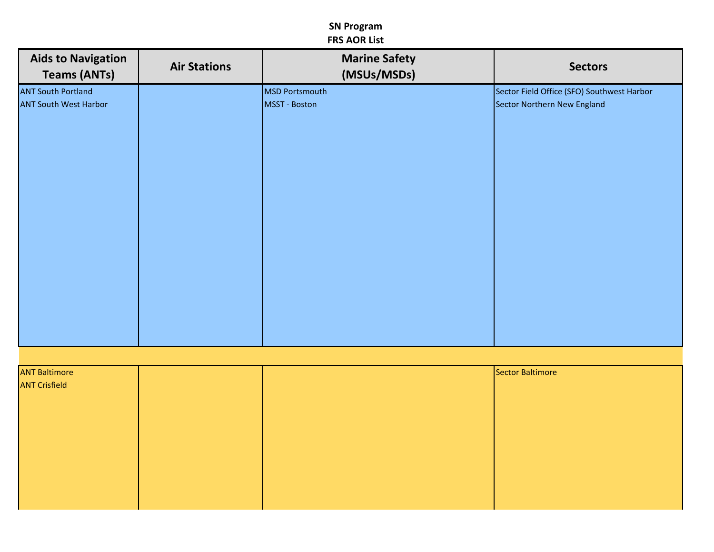| <b>Aids to Navigation</b><br><b>Teams (ANTs)</b> | <b>Air Stations</b> | <b>Marine Safety</b><br>(MSUs/MSDs) | <b>Sectors</b>                             |
|--------------------------------------------------|---------------------|-------------------------------------|--------------------------------------------|
| <b>ANT South Portland</b>                        |                     | <b>MSD Portsmouth</b>               | Sector Field Office (SFO) Southwest Harbor |
| <b>ANT South West Harbor</b>                     |                     | MSST - Boston                       | Sector Northern New England                |
|                                                  |                     |                                     |                                            |
|                                                  |                     |                                     |                                            |
|                                                  |                     |                                     |                                            |
|                                                  |                     |                                     |                                            |
|                                                  |                     |                                     |                                            |
|                                                  |                     |                                     |                                            |
|                                                  |                     |                                     |                                            |
|                                                  |                     |                                     |                                            |
|                                                  |                     |                                     |                                            |
|                                                  |                     |                                     |                                            |
|                                                  |                     |                                     |                                            |
|                                                  |                     |                                     |                                            |
|                                                  |                     |                                     |                                            |
|                                                  |                     |                                     |                                            |
|                                                  |                     |                                     |                                            |
|                                                  |                     |                                     |                                            |
|                                                  |                     |                                     |                                            |
|                                                  |                     |                                     |                                            |

| <b>ANT Baltimore</b> |  | Sector Baltimore |
|----------------------|--|------------------|
| <b>ANT Crisfield</b> |  |                  |
|                      |  |                  |
|                      |  |                  |
|                      |  |                  |
|                      |  |                  |
|                      |  |                  |
|                      |  |                  |
|                      |  |                  |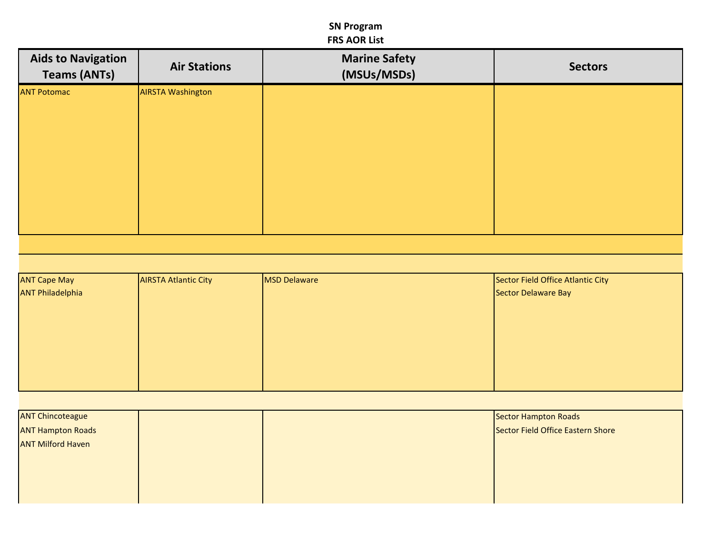| <b>Aids to Navigation</b><br><b>Teams (ANTs)</b> | <b>Air Stations</b>      | <b>Marine Safety</b><br>(MSUs/MSDs) | <b>Sectors</b> |
|--------------------------------------------------|--------------------------|-------------------------------------|----------------|
| <b>ANT Potomac</b>                               | <b>AIRSTA Washington</b> |                                     |                |
|                                                  |                          |                                     |                |
|                                                  |                          |                                     |                |
|                                                  |                          |                                     |                |
|                                                  |                          |                                     |                |
|                                                  |                          |                                     |                |

| <b>ANT Cape May</b>     | <b>AIRSTA Atlantic City</b> | MSD Delaware | Sector Field Office Atlantic City |
|-------------------------|-----------------------------|--------------|-----------------------------------|
| <b>ANT Philadelphia</b> |                             |              | Sector Delaware Bay               |
|                         |                             |              |                                   |
|                         |                             |              |                                   |
|                         |                             |              |                                   |
|                         |                             |              |                                   |
|                         |                             |              |                                   |
|                         |                             |              |                                   |
|                         |                             |              |                                   |

| <b>ANT Chincoteague</b>  | Sector Hampton Roads              |
|--------------------------|-----------------------------------|
| <b>ANT Hampton Roads</b> | Sector Field Office Eastern Shore |
| <b>ANT Milford Haven</b> |                                   |
|                          |                                   |
|                          |                                   |
|                          |                                   |
|                          |                                   |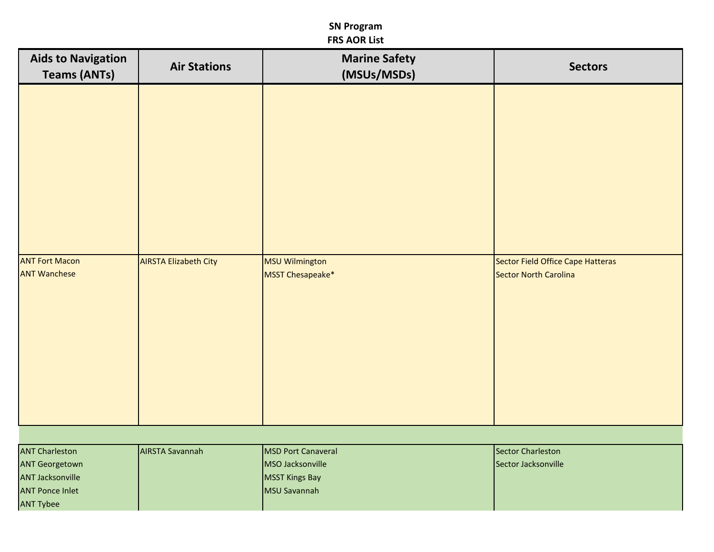| <b>Aids to Navigation</b><br><b>Teams (ANTs)</b> | <b>Air Stations</b>          | <b>Marine Safety</b><br>(MSUs/MSDs)       | <b>Sectors</b>                                             |
|--------------------------------------------------|------------------------------|-------------------------------------------|------------------------------------------------------------|
|                                                  |                              |                                           |                                                            |
| <b>ANT Fort Macon</b><br><b>ANT Wanchese</b>     | <b>AIRSTA Elizabeth City</b> | <b>MSU Wilmington</b><br>MSST Chesapeake* | Sector Field Office Cape Hatteras<br>Sector North Carolina |

| <b>ANT Charleston</b>   | <b>AIRSTA Savannah</b> | <b>MSD Port Canaveral</b> | Sector Charleston   |
|-------------------------|------------------------|---------------------------|---------------------|
| <b>ANT Georgetown</b>   |                        | <b>IMSO Jacksonville</b>  | Sector Jacksonville |
| <b>ANT Jacksonville</b> |                        | MSST Kings Bay            |                     |
| <b>ANT Ponce Inlet</b>  |                        | <b>IMSU Savannah</b>      |                     |
| <b>ANT Tybee</b>        |                        |                           |                     |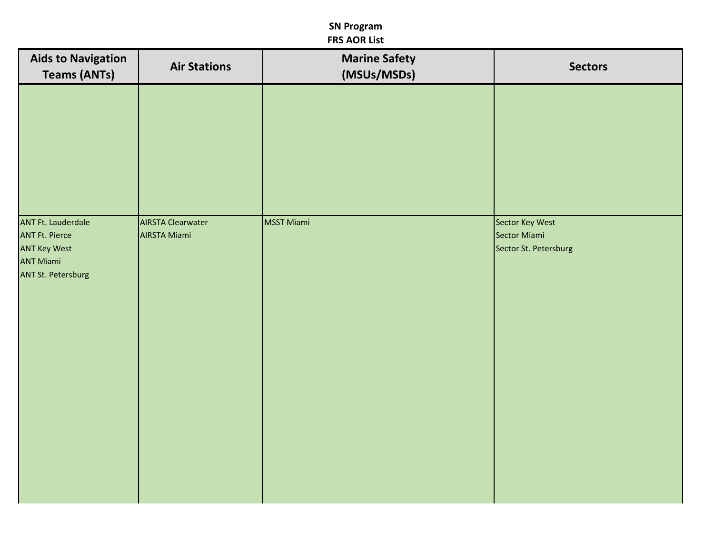| <b>Aids to Navigation</b><br><b>Teams (ANTs)</b>                                                                           | <b>Air Stations</b>                             | <b>Marine Safety</b><br>(MSUs/MSDs) | <b>Sectors</b>                                           |
|----------------------------------------------------------------------------------------------------------------------------|-------------------------------------------------|-------------------------------------|----------------------------------------------------------|
|                                                                                                                            |                                                 |                                     |                                                          |
| <b>ANT Ft. Lauderdale</b><br><b>ANT Ft. Pierce</b><br><b>ANT Key West</b><br><b>ANT Miami</b><br><b>ANT St. Petersburg</b> | <b>AIRSTA Clearwater</b><br><b>AIRSTA Miami</b> | MSST Miami                          | Sector Key West<br>Sector Miami<br>Sector St. Petersburg |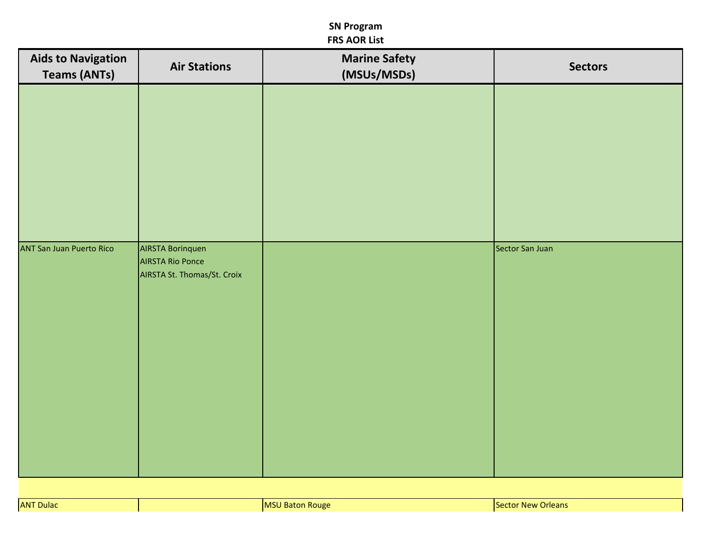| <b>Aids to Navigation</b><br><b>Teams (ANTs)</b> | <b>Air Stations</b>                                                               | <b>Marine Safety</b><br>(MSUs/MSDs) | <b>Sectors</b>  |
|--------------------------------------------------|-----------------------------------------------------------------------------------|-------------------------------------|-----------------|
|                                                  |                                                                                   |                                     |                 |
|                                                  |                                                                                   |                                     |                 |
|                                                  |                                                                                   |                                     |                 |
|                                                  |                                                                                   |                                     |                 |
|                                                  |                                                                                   |                                     |                 |
| <b>ANT San Juan Puerto Rico</b>                  | <b>AIRSTA Borinquen</b><br><b>AIRSTA Rio Ponce</b><br>AIRSTA St. Thomas/St. Croix |                                     | Sector San Juan |
|                                                  |                                                                                   |                                     |                 |
|                                                  |                                                                                   |                                     |                 |
|                                                  |                                                                                   |                                     |                 |
|                                                  |                                                                                   |                                     |                 |
|                                                  |                                                                                   |                                     |                 |
|                                                  |                                                                                   |                                     |                 |

| <b>CALL AND INCOME.</b><br><b>ANT Dulac</b> | i Rouge.<br>IMS.<br>___ | :Sector<br>Orleans: |
|---------------------------------------------|-------------------------|---------------------|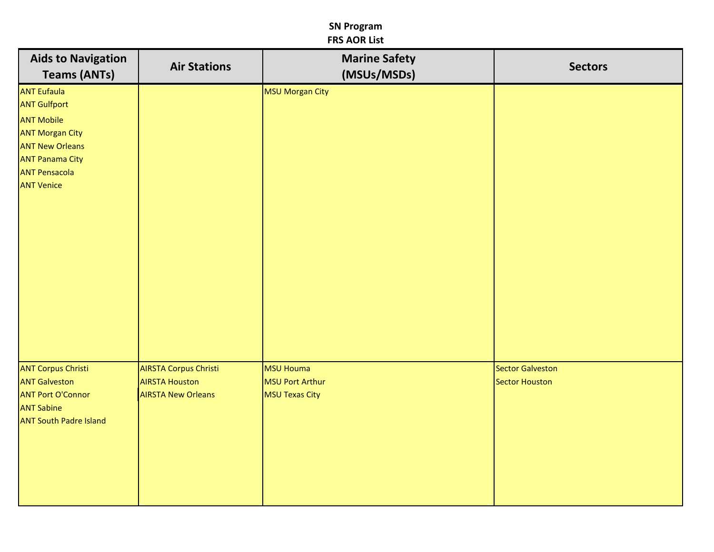| <b>Aids to Navigation</b><br><b>Teams (ANTs)</b>                                                                                                                                          | <b>Air Stations</b>                                                                | <b>Marine Safety</b><br>(MSUs/MSDs)            | <b>Sectors</b>                            |
|-------------------------------------------------------------------------------------------------------------------------------------------------------------------------------------------|------------------------------------------------------------------------------------|------------------------------------------------|-------------------------------------------|
| <b>ANT Eufaula</b><br><b>ANT Gulfport</b><br><b>ANT Mobile</b><br><b>ANT Morgan City</b><br><b>ANT New Orleans</b><br><b>ANT Panama City</b><br><b>ANT Pensacola</b><br><b>ANT Venice</b> |                                                                                    | MSU Morgan City                                |                                           |
| <b>ANT Corpus Christi</b><br><b>ANT Galveston</b><br><b>ANT Port O'Connor</b><br><b>ANT Sabine</b><br><b>ANT South Padre Island</b>                                                       | <b>AIRSTA Corpus Christi</b><br><b>AIRSTA Houston</b><br><b>AIRSTA New Orleans</b> | MSU Houma<br>MSU Port Arthur<br>MSU Texas City | <b>Sector Galveston</b><br>Sector Houston |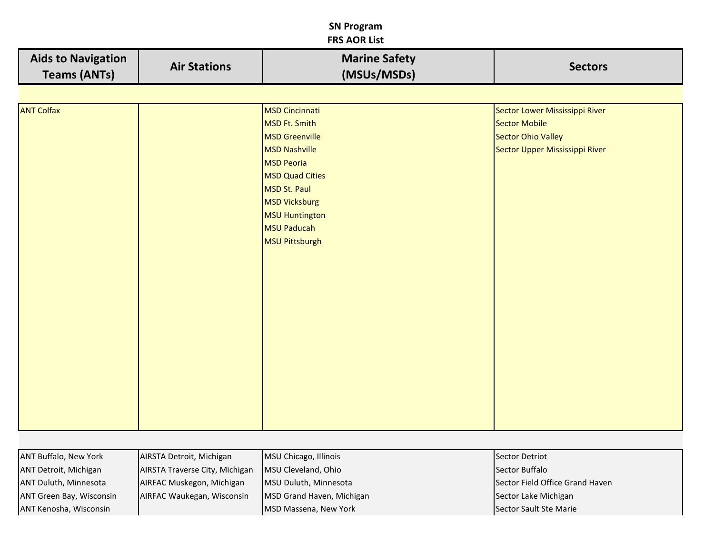# **SN Program**

| <b>FRS AOR List</b>                              |                     |                                                                                                                                                                                                                                          |                                                                                                                       |  |
|--------------------------------------------------|---------------------|------------------------------------------------------------------------------------------------------------------------------------------------------------------------------------------------------------------------------------------|-----------------------------------------------------------------------------------------------------------------------|--|
| <b>Aids to Navigation</b><br><b>Teams (ANTs)</b> | <b>Air Stations</b> | <b>Marine Safety</b><br>(MSUs/MSDs)                                                                                                                                                                                                      | <b>Sectors</b>                                                                                                        |  |
|                                                  |                     |                                                                                                                                                                                                                                          |                                                                                                                       |  |
| <b>ANT Colfax</b>                                |                     | <b>MSD Cincinnati</b><br>MSD Ft. Smith<br><b>MSD</b> Greenville<br>MSD Nashville<br><b>MSD Peoria</b><br><b>MSD Quad Cities</b><br>MSD St. Paul<br><b>MSD Vicksburg</b><br><b>MSU Huntington</b><br><b>MSU Paducah</b><br>MSU Pittsburgh | Sector Lower Mississippi River<br><b>Sector Mobile</b><br><b>Sector Ohio Valley</b><br>Sector Upper Mississippi River |  |

| <b>ANT Buffalo, New York</b> | AIRSTA Detroit, Michigan       | MSU Chicago, Illinois     | Sector Detriot                  |
|------------------------------|--------------------------------|---------------------------|---------------------------------|
| ANT Detroit, Michigan        | AIRSTA Traverse City, Michigan | MSU Cleveland, Ohio       | Sector Buffalo                  |
| <b>ANT Duluth, Minnesota</b> | AIRFAC Muskegon, Michigan      | MSU Duluth, Minnesota     | Sector Field Office Grand Haven |
| ANT Green Bay, Wisconsin     | AIRFAC Waukegan, Wisconsin     | MSD Grand Haven, Michigan | Sector Lake Michigan            |
| ANT Kenosha, Wisconsin       |                                | MSD Massena, New York     | Sector Sault Ste Marie          |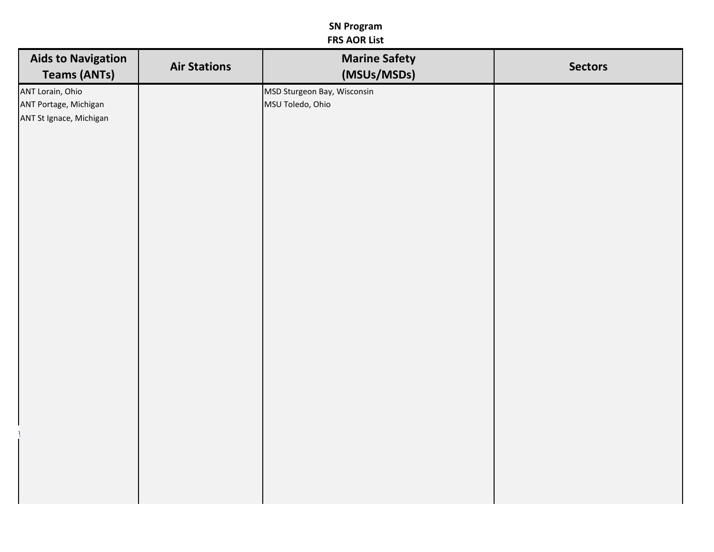| <b>Aids to Navigation</b><br><b>Teams (ANTs)</b>                     | <b>Air Stations</b> | <b>Marine Safety</b><br>(MSUs/MSDs)             | <b>Sectors</b> |
|----------------------------------------------------------------------|---------------------|-------------------------------------------------|----------------|
| ANT Lorain, Ohio<br>ANT Portage, Michigan<br>ANT St Ignace, Michigan |                     | MSD Sturgeon Bay, Wisconsin<br>MSU Toledo, Ohio |                |
|                                                                      |                     |                                                 |                |
|                                                                      |                     |                                                 |                |
|                                                                      |                     |                                                 |                |
|                                                                      |                     |                                                 |                |
|                                                                      |                     |                                                 |                |
|                                                                      |                     |                                                 |                |
|                                                                      |                     |                                                 |                |
|                                                                      |                     |                                                 |                |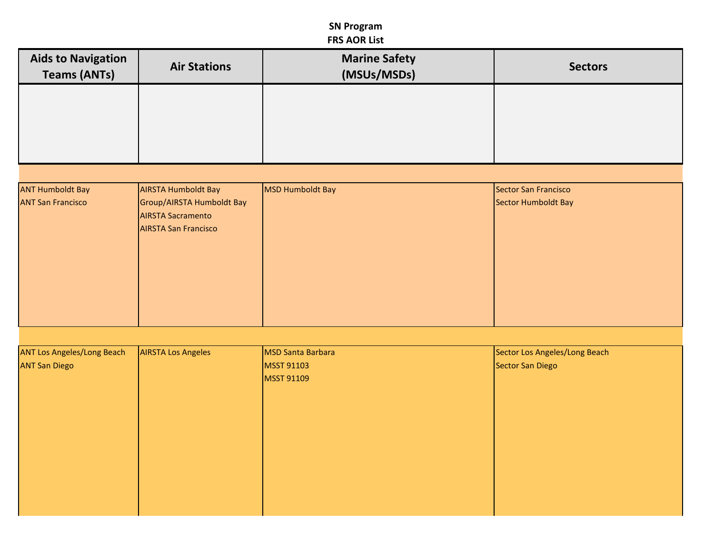| <b>Aids to Navigation</b><br><b>Teams (ANTs)</b> | <b>Air Stations</b>                                                                  | <b>Marine Safety</b><br>(MSUs/MSDs) | <b>Sectors</b>                |
|--------------------------------------------------|--------------------------------------------------------------------------------------|-------------------------------------|-------------------------------|
|                                                  |                                                                                      |                                     |                               |
|                                                  |                                                                                      |                                     |                               |
| <b>ANT Humboldt Bay</b>                          | <b>AIRSTA Humboldt Bay</b>                                                           | <b>MSD Humboldt Bay</b>             | Sector San Francisco          |
| <b>ANT San Francisco</b>                         | Group/AIRSTA Humboldt Bay<br><b>AIRSTA Sacramento</b><br><b>AIRSTA San Francisco</b> |                                     | Sector Humboldt Bay           |
|                                                  |                                                                                      |                                     |                               |
|                                                  |                                                                                      |                                     |                               |
|                                                  |                                                                                      |                                     |                               |
|                                                  |                                                                                      |                                     |                               |
| <b>ANT Los Angeles/Long Beach</b>                | <b>AIRSTA Los Angeles</b>                                                            | <b>MSD Santa Barbara</b>            | Sector Los Angeles/Long Beach |
| <b>ANT San Diego</b>                             |                                                                                      | <b>MSST 91103</b><br>MSST 91109     | Sector San Diego              |
|                                                  |                                                                                      |                                     |                               |
|                                                  |                                                                                      |                                     |                               |
|                                                  |                                                                                      |                                     |                               |
|                                                  |                                                                                      |                                     |                               |
|                                                  |                                                                                      |                                     |                               |
|                                                  |                                                                                      |                                     |                               |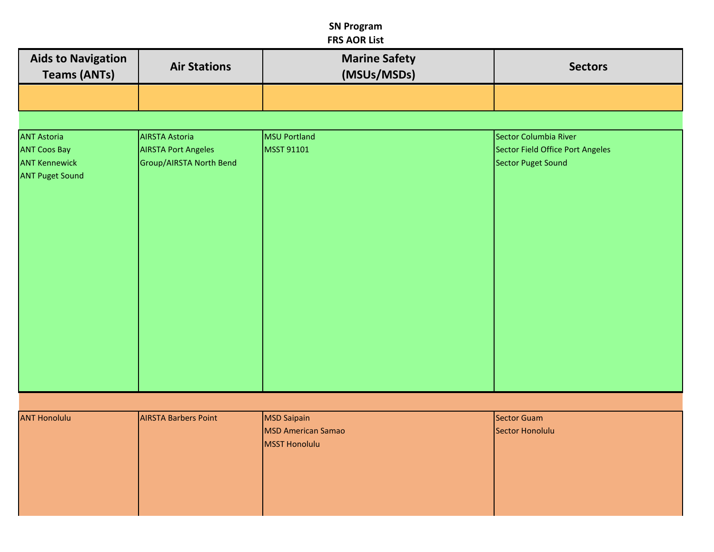|                                                  |                             | ינוש השמונו                         |                                  |
|--------------------------------------------------|-----------------------------|-------------------------------------|----------------------------------|
| <b>Aids to Navigation</b><br><b>Teams (ANTs)</b> | <b>Air Stations</b>         | <b>Marine Safety</b><br>(MSUs/MSDs) | <b>Sectors</b>                   |
|                                                  |                             |                                     |                                  |
|                                                  |                             |                                     |                                  |
| <b>ANT Astoria</b>                               | <b>AIRSTA Astoria</b>       | <b>MSU Portland</b>                 | Sector Columbia River            |
| <b>ANT Coos Bay</b>                              | <b>AIRSTA Port Angeles</b>  | <b>MSST 91101</b>                   | Sector Field Office Port Angeles |
| <b>ANT Kennewick</b>                             | Group/AIRSTA North Bend     |                                     | Sector Puget Sound               |
| <b>ANT Puget Sound</b>                           |                             |                                     |                                  |
|                                                  |                             |                                     |                                  |
|                                                  |                             |                                     |                                  |
|                                                  |                             |                                     |                                  |
|                                                  |                             |                                     |                                  |
|                                                  |                             |                                     |                                  |
|                                                  |                             |                                     |                                  |
|                                                  |                             |                                     |                                  |
|                                                  |                             |                                     |                                  |
|                                                  |                             |                                     |                                  |
|                                                  |                             |                                     |                                  |
|                                                  |                             |                                     |                                  |
|                                                  |                             |                                     |                                  |
|                                                  |                             |                                     |                                  |
|                                                  |                             |                                     |                                  |
|                                                  |                             |                                     |                                  |
|                                                  |                             |                                     |                                  |
|                                                  |                             |                                     |                                  |
| <b>ANT Honolulu</b>                              | <b>AIRSTA Barbers Point</b> | <b>MSD Saipain</b>                  | Sector Guam                      |
|                                                  |                             | <b>MSD American Samao</b>           | Sector Honolulu                  |
|                                                  |                             | <b>MSST Honolulu</b>                |                                  |
|                                                  |                             |                                     |                                  |
|                                                  |                             |                                     |                                  |
|                                                  |                             |                                     |                                  |
|                                                  |                             |                                     |                                  |
|                                                  |                             |                                     |                                  |

Ш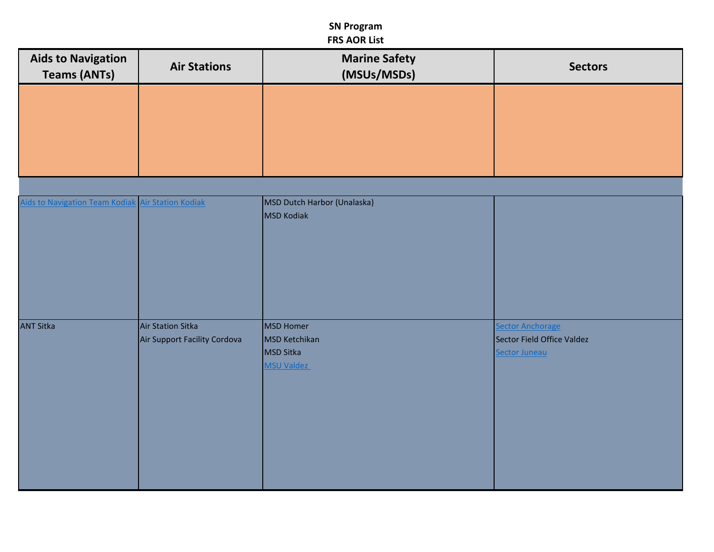| <b>Aids to Navigation</b><br><b>Teams (ANTs)</b> | <b>Air Stations</b>          | <b>Marine Safety</b><br>(MSUs/MSDs)       | <b>Sectors</b>             |
|--------------------------------------------------|------------------------------|-------------------------------------------|----------------------------|
|                                                  |                              |                                           |                            |
|                                                  |                              |                                           |                            |
|                                                  |                              |                                           |                            |
|                                                  |                              |                                           |                            |
| <b>Aids to Navigation Team Kodiak</b>            | <b>Air Station Kodiak</b>    | MSD Dutch Harbor (Unalaska)<br>MSD Kodiak |                            |
|                                                  |                              |                                           |                            |
|                                                  |                              |                                           |                            |
|                                                  |                              |                                           |                            |
| <b>ANT Sitka</b>                                 | Air Station Sitka            | <b>MSD Homer</b>                          | <b>Sector Anchorage</b>    |
|                                                  | Air Support Facility Cordova | MSD Ketchikan                             | Sector Field Office Valdez |
|                                                  |                              | MSD Sitka<br><b>MSU Valdez</b>            | Sector Juneau              |
|                                                  |                              |                                           |                            |
|                                                  |                              |                                           |                            |
|                                                  |                              |                                           |                            |
|                                                  |                              |                                           |                            |
|                                                  |                              |                                           |                            |
|                                                  |                              |                                           |                            |
|                                                  |                              |                                           |                            |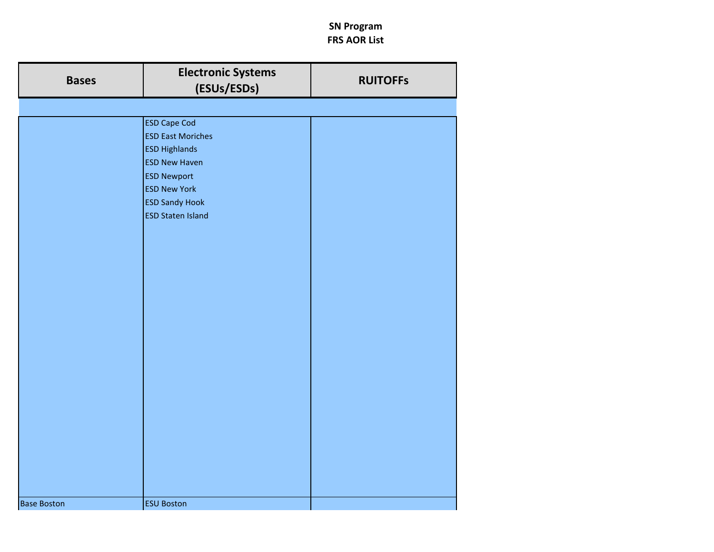| <b>Bases</b>       | <b>Electronic Systems</b><br>(ESUs/ESDs)                                                                                                                                                          | <b>RUITOFFS</b> |
|--------------------|---------------------------------------------------------------------------------------------------------------------------------------------------------------------------------------------------|-----------------|
|                    |                                                                                                                                                                                                   |                 |
|                    | <b>ESD Cape Cod</b><br><b>ESD East Moriches</b><br><b>ESD Highlands</b><br><b>ESD New Haven</b><br><b>ESD Newport</b><br><b>ESD New York</b><br><b>ESD Sandy Hook</b><br><b>ESD Staten Island</b> |                 |
|                    |                                                                                                                                                                                                   |                 |
| <b>Base Boston</b> | <b>ESU Boston</b>                                                                                                                                                                                 |                 |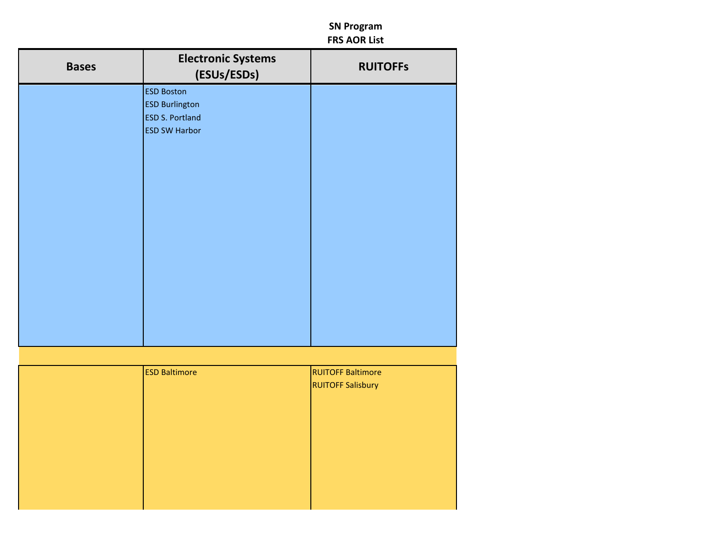| <b>Bases</b> | <b>Electronic Systems</b><br>(ESUs/ESDs)                             | <b>RUITOFFS</b> |
|--------------|----------------------------------------------------------------------|-----------------|
|              | <b>ESD Boston</b><br><b>ESD Burlington</b><br><b>ESD S. Portland</b> |                 |
|              | <b>ESD SW Harbor</b>                                                 |                 |
|              |                                                                      |                 |
|              |                                                                      |                 |
|              |                                                                      |                 |
|              |                                                                      |                 |
|              |                                                                      |                 |
|              |                                                                      |                 |

| <b>ESD Baltimore</b> | <b>RUITOFF Baltimore</b> |
|----------------------|--------------------------|
|                      | <b>RUITOFF Salisbury</b> |
|                      |                          |
|                      |                          |
|                      |                          |
|                      |                          |
|                      |                          |
|                      |                          |
|                      |                          |
|                      |                          |
|                      |                          |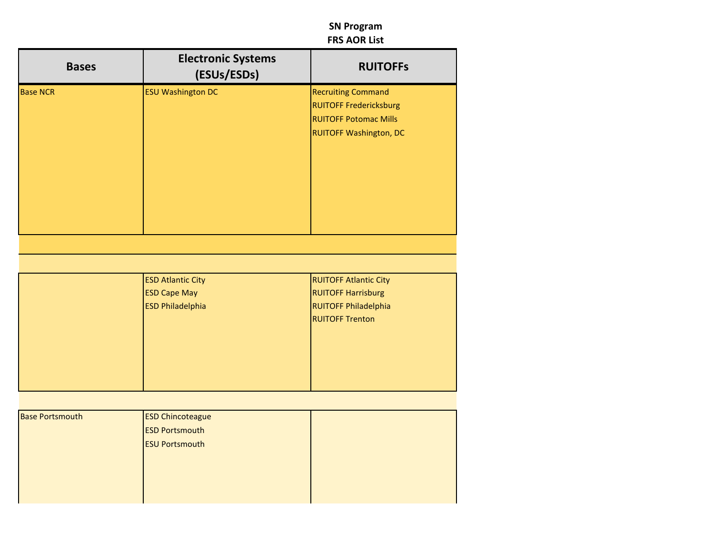| <b>RUITOFFS</b>                                                                                               | <b>Electronic Systems</b><br>(ESUs/ESDs)         | <b>Bases</b> |                        |
|---------------------------------------------------------------------------------------------------------------|--------------------------------------------------|--------------|------------------------|
| Recruiting Command<br><b>RUITOFF Fredericksburg</b><br><b>RUITOFF Potomac Mills</b><br>RUITOFF Washington, DC | <b>ESU Washington DC</b>                         |              | <b>Base NCR</b>        |
|                                                                                                               |                                                  |              |                        |
|                                                                                                               |                                                  |              |                        |
| <b>RUITOFF Atlantic City</b><br><b>RUITOFF Harrisburg</b>                                                     | <b>ESD Atlantic City</b><br><b>ESD Cape May</b>  |              |                        |
| RUITOFF Philadelphia                                                                                          | <b>ESD Philadelphia</b>                          |              |                        |
| <b>RUITOFF Trenton</b>                                                                                        |                                                  |              |                        |
|                                                                                                               |                                                  |              | <b>Base Portsmouth</b> |
|                                                                                                               | <b>ESD Chincoteague</b><br><b>ESD Portsmouth</b> |              |                        |
|                                                                                                               | <b>ESU Portsmouth</b>                            |              |                        |
|                                                                                                               |                                                  |              |                        |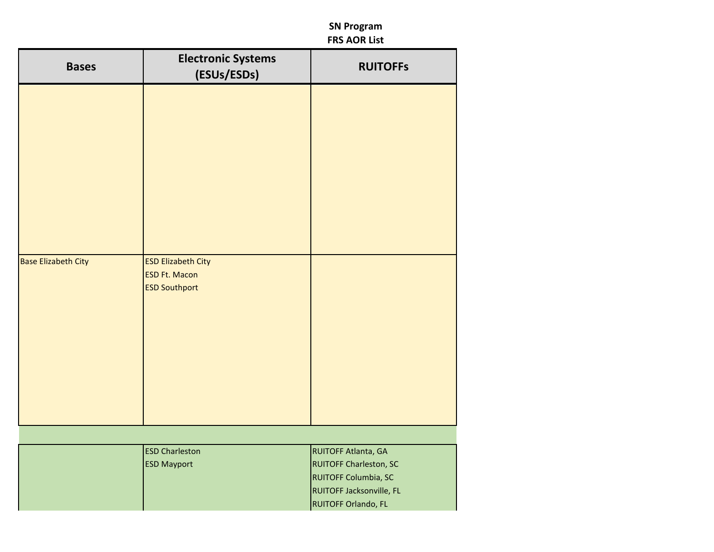| <b>Bases</b>               | <b>Electronic Systems</b><br>(ESUs/ESDs)                                  | <b>RUITOFFS</b>                                                                                                                 |
|----------------------------|---------------------------------------------------------------------------|---------------------------------------------------------------------------------------------------------------------------------|
|                            |                                                                           |                                                                                                                                 |
| <b>Base Elizabeth City</b> | <b>ESD Elizabeth City</b><br><b>ESD Ft. Macon</b><br><b>ESD Southport</b> |                                                                                                                                 |
|                            |                                                                           |                                                                                                                                 |
|                            | <b>ESD Charleston</b><br><b>ESD Mayport</b>                               | RUITOFF Atlanta, GA<br><b>RUITOFF Charleston, SC</b><br>RUITOFF Columbia, SC<br>RUITOFF Jacksonville, FL<br>RUITOFF Orlando, FL |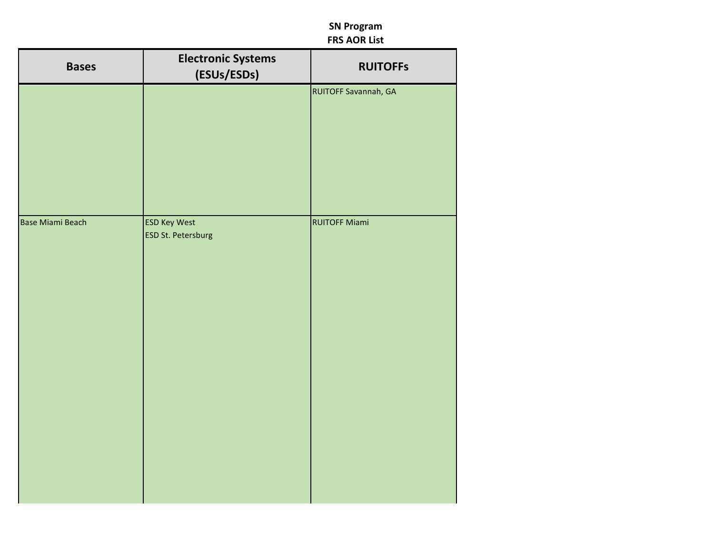| <b>Bases</b>     | <b>Electronic Systems</b><br>(ESUs/ESDs)         | <b>RUITOFFS</b>      |
|------------------|--------------------------------------------------|----------------------|
|                  |                                                  | RUITOFF Savannah, GA |
|                  |                                                  |                      |
|                  |                                                  |                      |
|                  |                                                  |                      |
| Base Miami Beach | <b>ESD Key West</b><br><b>ESD St. Petersburg</b> | <b>RUITOFF Miami</b> |
|                  |                                                  |                      |
|                  |                                                  |                      |
|                  |                                                  |                      |
|                  |                                                  |                      |
|                  |                                                  |                      |
|                  |                                                  |                      |
|                  |                                                  |                      |
|                  |                                                  |                      |
|                  |                                                  |                      |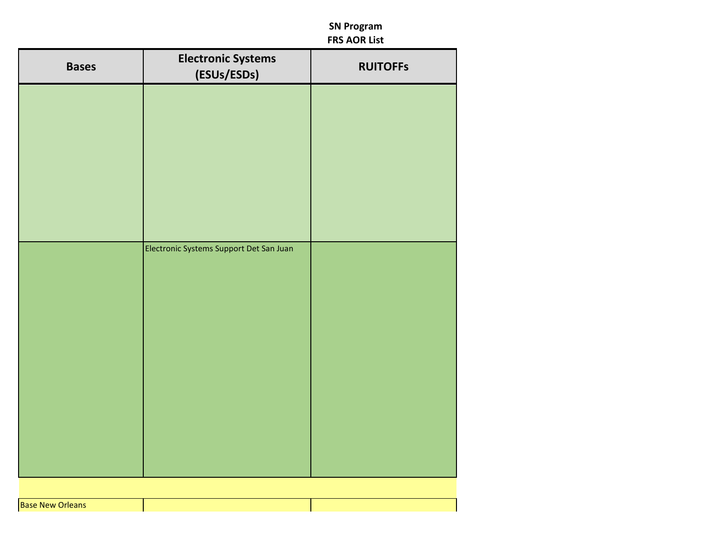| <b>Bases</b>            | <b>Electronic Systems</b><br>(ESUs/ESDs) | <b>RUITOFFs</b> |
|-------------------------|------------------------------------------|-----------------|
|                         |                                          |                 |
|                         |                                          |                 |
|                         |                                          |                 |
|                         |                                          |                 |
|                         |                                          |                 |
|                         | Electronic Systems Support Det San Juan  |                 |
|                         |                                          |                 |
|                         |                                          |                 |
|                         |                                          |                 |
|                         |                                          |                 |
|                         |                                          |                 |
|                         |                                          |                 |
|                         |                                          |                 |
| <b>Base New Orleans</b> |                                          |                 |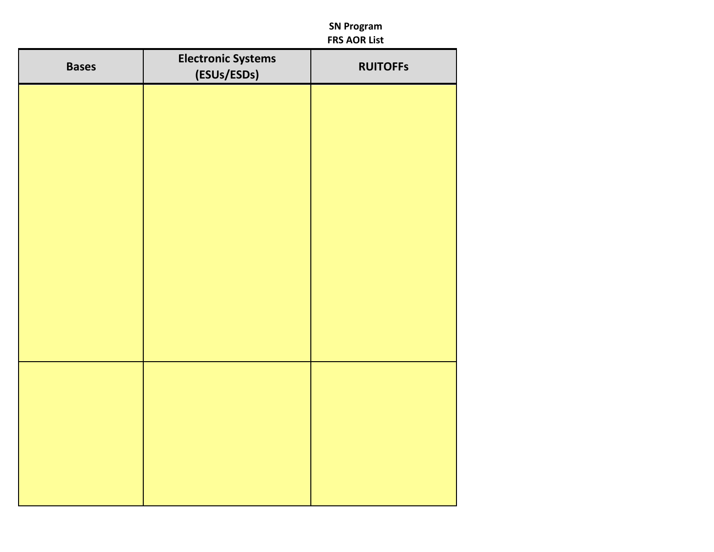| <b>Bases</b> | <b>Electronic Systems</b><br>(ESUs/ESDs) | <b>RUITOFFS</b> |
|--------------|------------------------------------------|-----------------|
|              |                                          |                 |
|              |                                          |                 |
|              |                                          |                 |
|              |                                          |                 |
|              |                                          |                 |
|              |                                          |                 |
|              |                                          |                 |
|              |                                          |                 |
|              |                                          |                 |
|              |                                          |                 |
|              |                                          |                 |
|              |                                          |                 |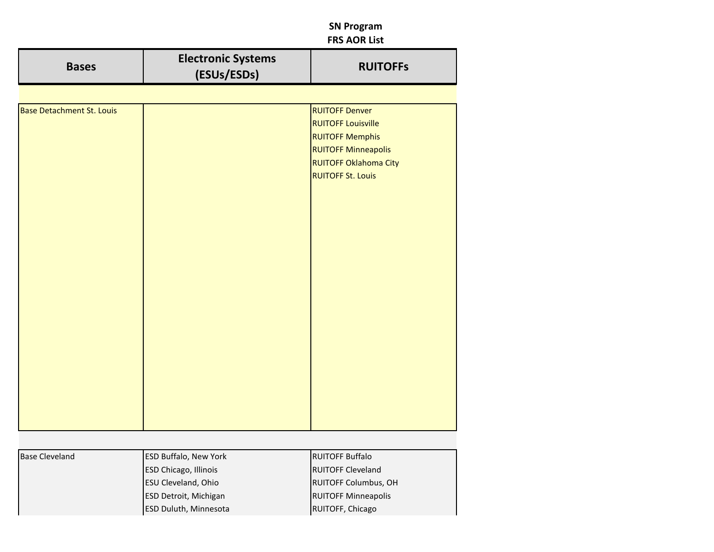| <b>Bases</b>                     | <b>Electronic Systems</b><br>(ESUs/ESDs) | <b>RUITOFFS</b>                                                                                                                                                        |
|----------------------------------|------------------------------------------|------------------------------------------------------------------------------------------------------------------------------------------------------------------------|
|                                  |                                          |                                                                                                                                                                        |
| <b>Base Detachment St. Louis</b> |                                          | <b>RUITOFF Denver</b><br><b>RUITOFF Louisville</b><br><b>RUITOFF Memphis</b><br><b>RUITOFF Minneapolis</b><br><b>RUITOFF Oklahoma City</b><br><b>RUITOFF St. Louis</b> |

| <b>Base Cleveland</b> | <b>ESD Buffalo, New York</b> | <b>RUITOFF Buffalo</b>      |
|-----------------------|------------------------------|-----------------------------|
|                       | <b>ESD Chicago, Illinois</b> | <b>RUITOFF Cleveland</b>    |
|                       | <b>ESU Cleveland, Ohio</b>   | <b>RUITOFF Columbus, OH</b> |
|                       | <b>ESD Detroit, Michigan</b> | <b>RUITOFF Minneapolis</b>  |
|                       | <b>ESD Duluth, Minnesota</b> | RUITOFF, Chicago            |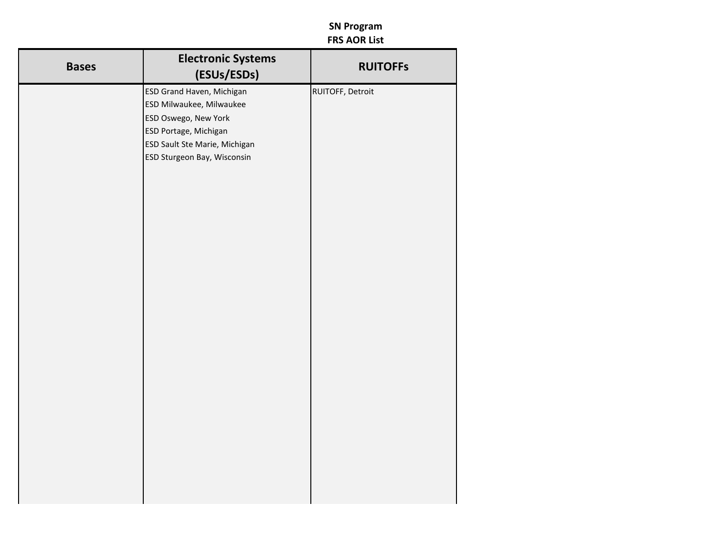| <b>Bases</b> | <b>Electronic Systems</b><br>(ESUs/ESDs)               | <b>RUITOFFS</b>  |
|--------------|--------------------------------------------------------|------------------|
|              | <b>ESD Grand Haven, Michigan</b>                       | RUITOFF, Detroit |
|              | ESD Milwaukee, Milwaukee                               |                  |
|              | <b>ESD Oswego, New York</b>                            |                  |
|              | ESD Portage, Michigan<br>ESD Sault Ste Marie, Michigan |                  |
|              | ESD Sturgeon Bay, Wisconsin                            |                  |
|              |                                                        |                  |
|              |                                                        |                  |
|              |                                                        |                  |
|              |                                                        |                  |
|              |                                                        |                  |
|              |                                                        |                  |
|              |                                                        |                  |
|              |                                                        |                  |
|              |                                                        |                  |
|              |                                                        |                  |
|              |                                                        |                  |
|              |                                                        |                  |
|              |                                                        |                  |
|              |                                                        |                  |
|              |                                                        |                  |
|              |                                                        |                  |
|              |                                                        |                  |
|              |                                                        |                  |
|              |                                                        |                  |
|              |                                                        |                  |
|              |                                                        |                  |
|              |                                                        |                  |
|              |                                                        |                  |
|              |                                                        |                  |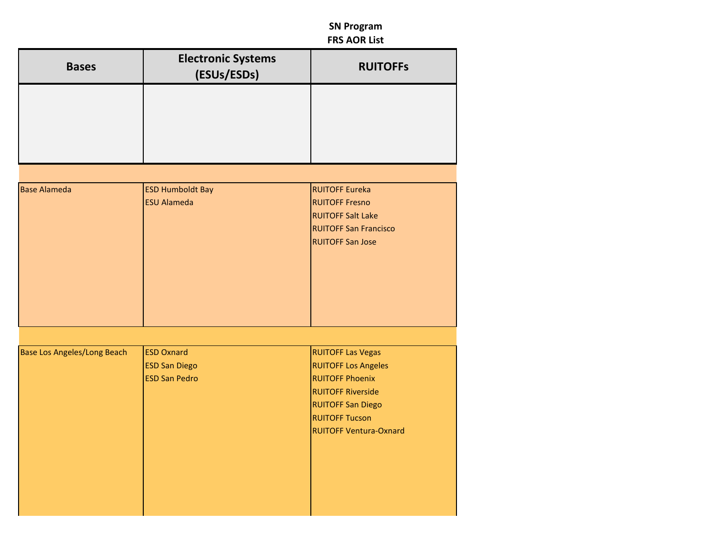| <b>Bases</b>                       | <b>Electronic Systems</b><br>(ESUs/ESDs)                          | <b>RUITOFFS</b>                                                                                                                                                                                    |
|------------------------------------|-------------------------------------------------------------------|----------------------------------------------------------------------------------------------------------------------------------------------------------------------------------------------------|
|                                    |                                                                   |                                                                                                                                                                                                    |
|                                    |                                                                   |                                                                                                                                                                                                    |
|                                    |                                                                   |                                                                                                                                                                                                    |
| <b>Base Alameda</b>                | <b>ESD Humboldt Bay</b><br><b>ESU Alameda</b>                     | <b>RUITOFF Eureka</b><br><b>RUITOFF Fresno</b><br><b>RUITOFF Salt Lake</b><br><b>RUITOFF San Francisco</b><br><b>RUITOFF San Jose</b>                                                              |
|                                    |                                                                   |                                                                                                                                                                                                    |
| <b>Base Los Angeles/Long Beach</b> | <b>ESD Oxnard</b><br><b>ESD San Diego</b><br><b>ESD San Pedro</b> | <b>RUITOFF Las Vegas</b><br><b>RUITOFF Los Angeles</b><br><b>RUITOFF Phoenix</b><br><b>RUITOFF Riverside</b><br><b>RUITOFF San Diego</b><br><b>RUITOFF Tucson</b><br><b>RUITOFF Ventura-Oxnard</b> |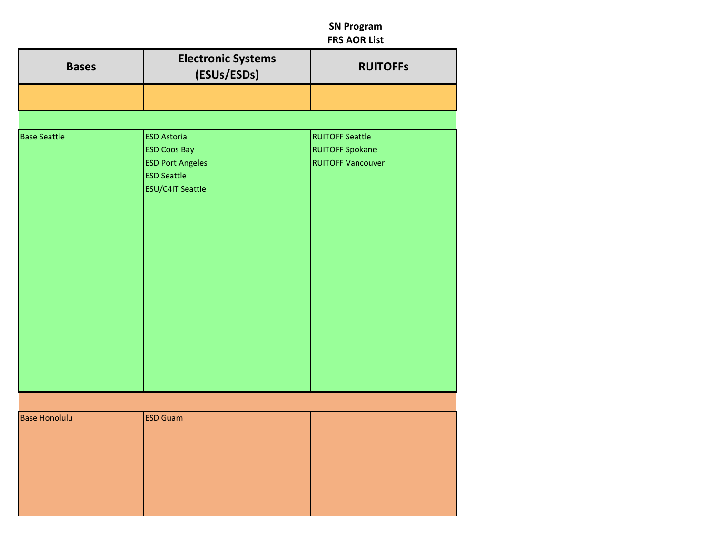| <b>Bases</b>         | <b>Electronic Systems</b><br>(ESUs/ESDs)                                                                              | <b>RUITOFFS</b>                                                              |
|----------------------|-----------------------------------------------------------------------------------------------------------------------|------------------------------------------------------------------------------|
|                      |                                                                                                                       |                                                                              |
|                      |                                                                                                                       |                                                                              |
| <b>Base Seattle</b>  | <b>ESD Astoria</b><br><b>ESD Coos Bay</b><br><b>ESD Port Angeles</b><br><b>ESD Seattle</b><br><b>ESU/C4IT Seattle</b> | <b>RUITOFF Seattle</b><br><b>RUITOFF Spokane</b><br><b>RUITOFF Vancouver</b> |
|                      |                                                                                                                       |                                                                              |
| <b>Base Honolulu</b> | <b>ESD Guam</b>                                                                                                       |                                                                              |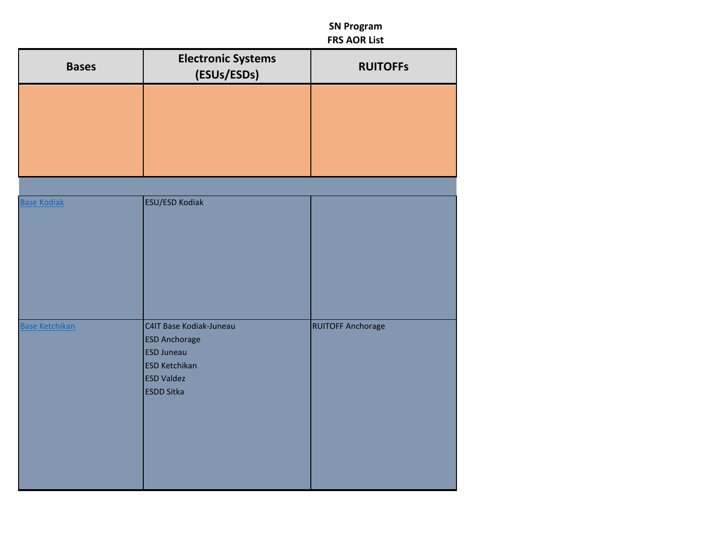| <b>Bases</b>          | <b>Electronic Systems</b><br>(ESUs/ESDs)                                                                                               | <b>RUITOFFs</b>          |
|-----------------------|----------------------------------------------------------------------------------------------------------------------------------------|--------------------------|
|                       |                                                                                                                                        |                          |
|                       |                                                                                                                                        |                          |
| <b>Base Kodiak</b>    | ESU/ESD Kodiak                                                                                                                         |                          |
| <b>Base Ketchikan</b> | C4IT Base Kodiak-Juneau<br><b>ESD Anchorage</b><br><b>ESD Juneau</b><br><b>ESD Ketchikan</b><br><b>ESD Valdez</b><br><b>ESDD Sitka</b> | <b>RUITOFF Anchorage</b> |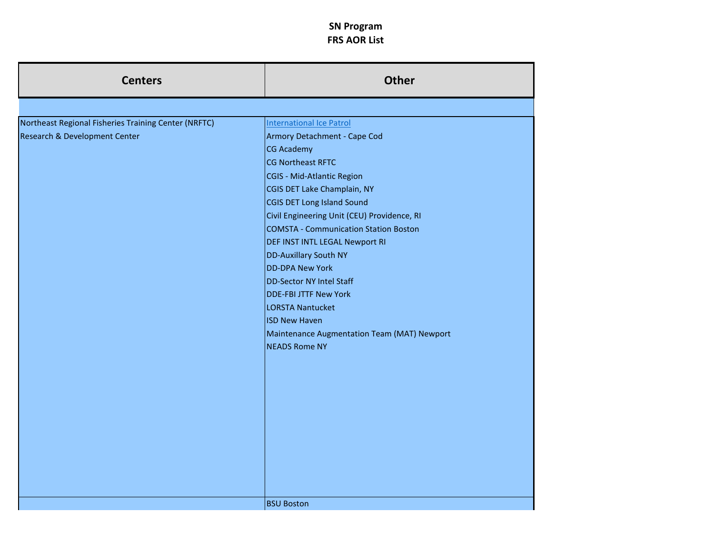| <b>Centers</b>                                       | <b>Other</b>                                            |
|------------------------------------------------------|---------------------------------------------------------|
|                                                      |                                                         |
| Northeast Regional Fisheries Training Center (NRFTC) | <b>International Ice Patrol</b>                         |
| Research & Development Center                        | Armory Detachment - Cape Cod                            |
|                                                      | <b>CG Academy</b>                                       |
|                                                      | CG Northeast RFTC                                       |
|                                                      | CGIS - Mid-Atlantic Region                              |
|                                                      | CGIS DET Lake Champlain, NY                             |
|                                                      | <b>CGIS DET Long Island Sound</b>                       |
|                                                      | Civil Engineering Unit (CEU) Providence, RI             |
|                                                      | <b>COMSTA - Communication Station Boston</b>            |
|                                                      | DEF INST INTL LEGAL Newport RI<br>DD-Auxillary South NY |
|                                                      | <b>DD-DPA New York</b>                                  |
|                                                      | <b>DD-Sector NY Intel Staff</b>                         |
|                                                      | <b>DDE-FBI JTTF New York</b>                            |
|                                                      | <b>LORSTA Nantucket</b>                                 |
|                                                      | <b>ISD New Haven</b>                                    |
|                                                      | Maintenance Augmentation Team (MAT) Newport             |
|                                                      | <b>NEADS Rome NY</b>                                    |
|                                                      |                                                         |
|                                                      |                                                         |
|                                                      |                                                         |
|                                                      |                                                         |
|                                                      |                                                         |
|                                                      |                                                         |
|                                                      |                                                         |
|                                                      |                                                         |
|                                                      |                                                         |
|                                                      |                                                         |
|                                                      |                                                         |
|                                                      | <b>BSU Boston</b>                                       |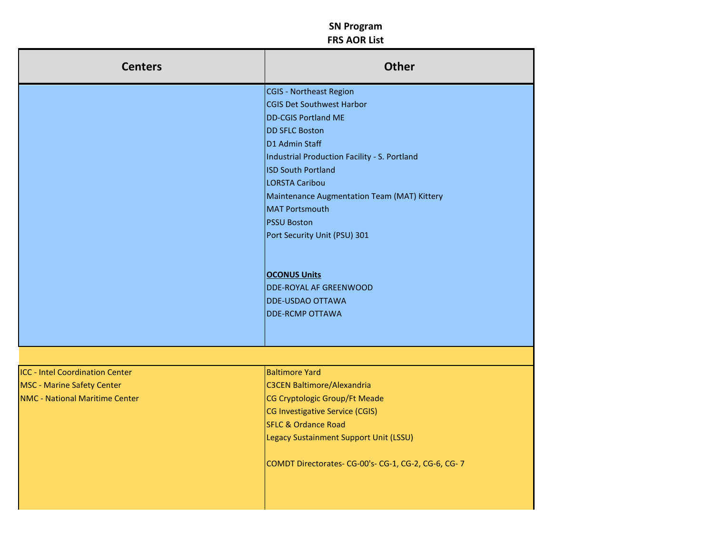| <b>Centers</b>                         | Other                                               |
|----------------------------------------|-----------------------------------------------------|
|                                        | CGIS - Northeast Region                             |
|                                        | CGIS Det Southwest Harbor                           |
|                                        | DD-CGIS Portland ME                                 |
|                                        | DD SFLC Boston                                      |
|                                        | D1 Admin Staff                                      |
|                                        | Industrial Production Facility - S. Portland        |
|                                        | ISD South Portland                                  |
|                                        | LORSTA Caribou                                      |
|                                        | Maintenance Augmentation Team (MAT) Kittery         |
|                                        | MAT Portsmouth                                      |
|                                        | <b>PSSU Boston</b>                                  |
|                                        | Port Security Unit (PSU) 301                        |
|                                        |                                                     |
|                                        |                                                     |
|                                        | OCONUS Units                                        |
|                                        | DDE-ROYAL AF GREENWOOD                              |
|                                        | DDE-USDAO OTTAWA                                    |
|                                        | DDE-RCMP OTTAWA                                     |
|                                        |                                                     |
|                                        |                                                     |
|                                        |                                                     |
| <b>ICC - Intel Coordination Center</b> | <b>Baltimore Yard</b>                               |
| <b>MSC</b> - Marine Safety Center      | C3CEN Baltimore/Alexandria                          |
| <b>NMC - National Maritime Center</b>  | CG Cryptologic Group/Ft Meade                       |
|                                        | CG Investigative Service (CGIS)                     |
|                                        | SFLC & Ordance Road                                 |
|                                        | Legacy Sustainment Support Unit (LSSU)              |
|                                        | COMDT Directorates- CG-00's- CG-1, CG-2, CG-6, CG-7 |
|                                        |                                                     |
|                                        |                                                     |
|                                        |                                                     |
|                                        |                                                     |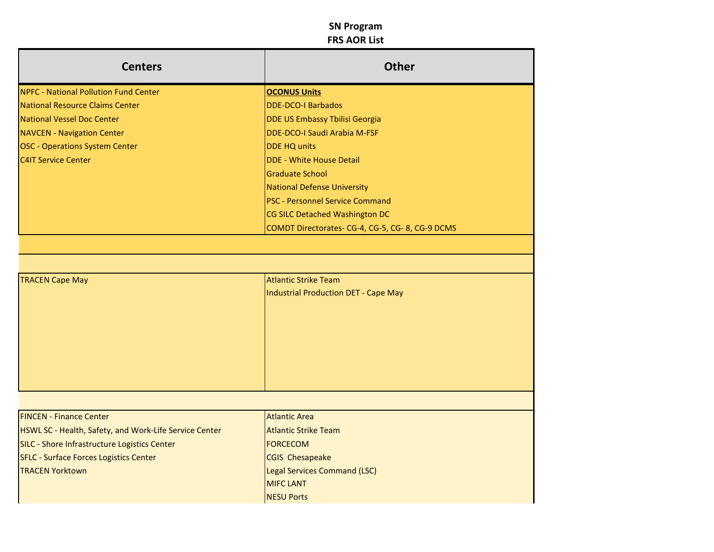| <b>Centers</b>                                         | Other                                          |
|--------------------------------------------------------|------------------------------------------------|
| <b>NPFC - National Pollution Fund Center</b>           | OCONUS Units                                   |
| National Resource Claims Center                        | DDE-DCO-I Barbados                             |
| <b>National Vessel Doc Center</b>                      | DDE US Embassy Tbilisi Georgia                 |
| <b>NAVCEN - Navigation Center</b>                      | DDE-DCO-I Saudi Arabia M-FSF                   |
| <b>OSC - Operations System Center</b>                  | DDE HQ units                                   |
| <b>C4IT Service Center</b>                             | DDE - White House Detail                       |
|                                                        | Graduate School                                |
|                                                        | National Defense University                    |
|                                                        | <b>PSC</b> - Personnel Service Command         |
|                                                        | CG SILC Detached Washington DC                 |
|                                                        | COMDT Directorates-CG-4, CG-5, CG-8, CG-9 DCMS |
|                                                        |                                                |
|                                                        |                                                |
| <b>TRACEN Cape May</b>                                 | Atlantic Strike Team                           |
|                                                        | Industrial Production DET - Cape May           |
|                                                        |                                                |
|                                                        |                                                |
|                                                        |                                                |
|                                                        |                                                |
|                                                        |                                                |
|                                                        |                                                |
|                                                        |                                                |
|                                                        |                                                |
| <b>FINCEN - Finance Center</b>                         | <b>Atlantic Area</b>                           |
| HSWL SC - Health, Safety, and Work-Life Service Center | Atlantic Strike Team                           |
| SILC - Shore Infrastructure Logistics Center           | FORCECOM                                       |
| SFLC - Surface Forces Logistics Center                 | CGIS Chesapeake                                |
| <b>TRACEN Yorktown</b>                                 | Legal Services Command (LSC)                   |
|                                                        | MIFC LANT                                      |
|                                                        | NESU Ports                                     |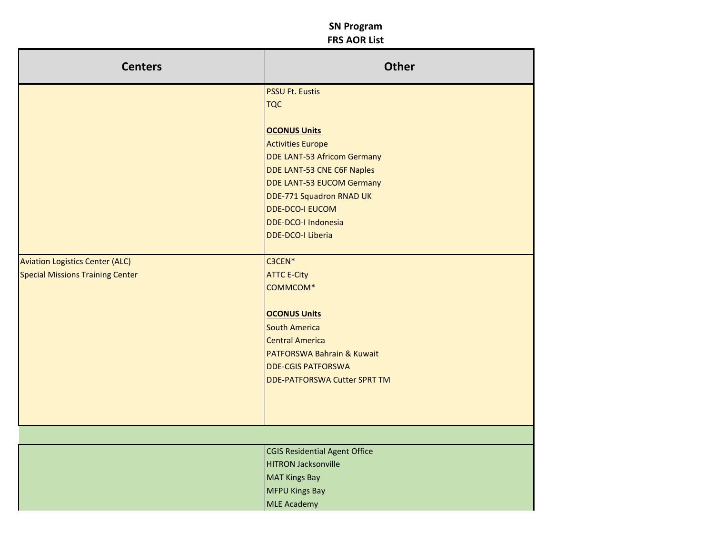| <b>Centers</b>                          | Other                                         |
|-----------------------------------------|-----------------------------------------------|
|                                         | <b>PSSU Ft. Eustis</b>                        |
|                                         | <b>TQC</b>                                    |
|                                         | OCONUS Units                                  |
|                                         | Activities Europe                             |
|                                         | DDE LANT-53 Africom Germany                   |
|                                         | DDE LANT-53 CNE C6F Naples                    |
|                                         | DDE LANT-53 EUCOM Germany                     |
|                                         | DDE-771 Squadron RNAD UK                      |
|                                         | DDE-DCO-I EUCOM                               |
|                                         | DDE-DCO-I Indonesia<br>DDE-DCO-I Liberia      |
|                                         |                                               |
| <b>Aviation Logistics Center (ALC)</b>  | C3CEN <sup>*</sup>                            |
| <b>Special Missions Training Center</b> | ATTC E-City                                   |
|                                         | COMMCOM <sup>*</sup>                          |
|                                         |                                               |
|                                         | OCONUS Units                                  |
|                                         | South America                                 |
|                                         | Central America<br>PATFORSWA Bahrain & Kuwait |
|                                         | DDE-CGIS PATFORSWA                            |
|                                         | DDE-PATFORSWA Cutter SPRT TM                  |
|                                         |                                               |
|                                         |                                               |
|                                         |                                               |
|                                         |                                               |
|                                         | CGIS Residential Agent Office                 |
|                                         | HITRON Jacksonville                           |
|                                         | MAT Kings Bay                                 |
|                                         | MFPU Kings Bay                                |
|                                         | MLE Academy                                   |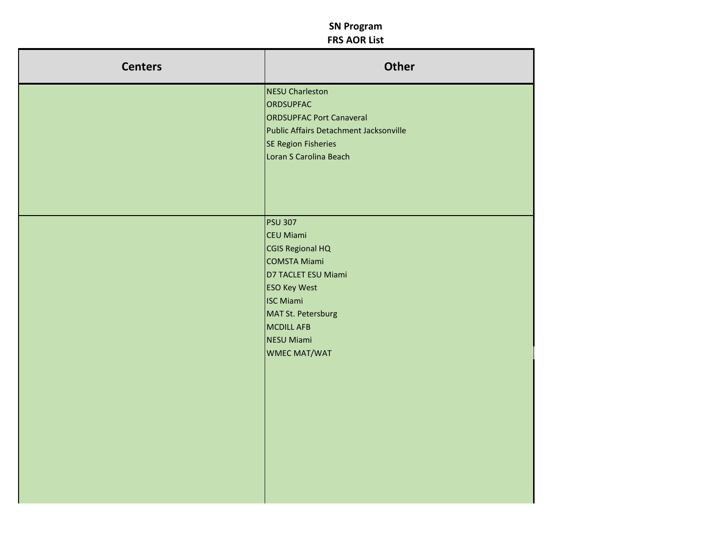| <b>Centers</b> | Other                                        |
|----------------|----------------------------------------------|
|                | NESU Charleston                              |
|                | ORDSUPFAC<br><b>ORDSUPFAC Port Canaveral</b> |
|                | Public Affairs Detachment Jacksonville       |
|                | SE Region Fisheries                          |
|                | Loran S Carolina Beach                       |
|                |                                              |
|                |                                              |
|                |                                              |
|                |                                              |
|                | <b>PSU 307</b>                               |
|                | CEU Miami                                    |
|                | CGIS Regional HQ                             |
|                | COMSTA Miami                                 |
|                | D7 TACLET ESU Miami                          |
|                | <b>ESO Key West</b>                          |
|                | <b>ISC Miami</b>                             |
|                | MAT St. Petersburg<br>MCDILL AFB             |
|                | NESU Miami                                   |
|                | WMEC MAT/WAT                                 |
|                |                                              |
|                |                                              |
|                |                                              |
|                |                                              |
|                |                                              |
|                |                                              |
|                |                                              |
|                |                                              |
|                |                                              |
|                |                                              |
|                |                                              |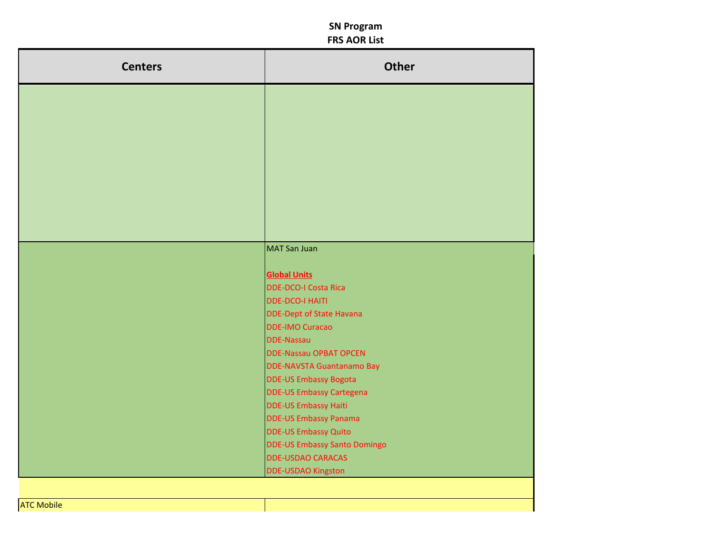| <b>Centers</b> | <b>Other</b>                                                   |
|----------------|----------------------------------------------------------------|
|                |                                                                |
|                |                                                                |
|                |                                                                |
|                |                                                                |
|                |                                                                |
|                |                                                                |
|                |                                                                |
|                |                                                                |
|                |                                                                |
|                |                                                                |
|                | <b>MAT San Juan</b>                                            |
|                | <b>Global Units</b>                                            |
|                | <b>DDE-DCO-I Costa Rica</b>                                    |
|                | <b>DDE-DCO-I HAITI</b>                                         |
|                | <b>DDE-Dept of State Havana</b>                                |
|                | <b>DDE-IMO Curacao</b>                                         |
|                | <b>DDE-Nassau</b>                                              |
|                | <b>DDE-Nassau OPBAT OPCEN</b>                                  |
|                | <b>DDE-NAVSTA Guantanamo Bay</b>                               |
|                | <b>DDE-US Embassy Bogota</b>                                   |
|                | <b>DDE-US Embassy Cartegena</b><br><b>DDE-US Embassy Haiti</b> |
|                | <b>DDE-US Embassy Panama</b>                                   |
|                | <b>DDE-US Embassy Quito</b>                                    |
|                | <b>DDE-US Embassy Santo Domingo</b>                            |
|                | <b>DDE-USDAO CARACAS</b>                                       |
|                | <b>DDE-USDAO Kingston</b>                                      |
|                |                                                                |

ATC Mobile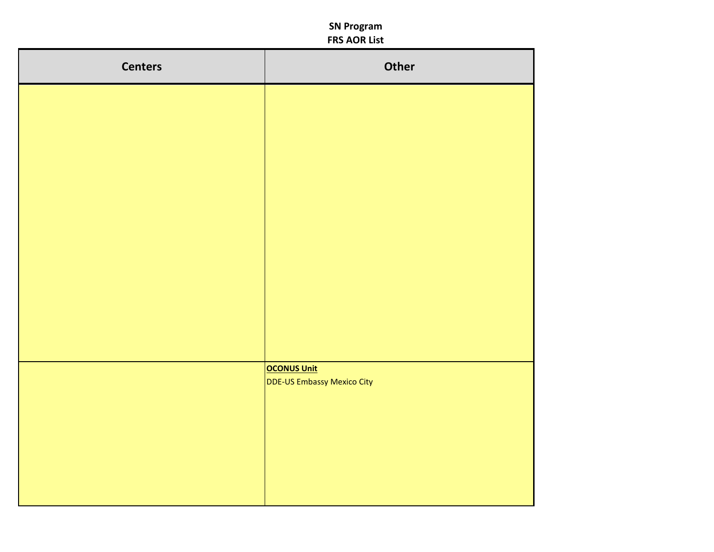| <b>Centers</b> | Other                                     |
|----------------|-------------------------------------------|
|                |                                           |
|                |                                           |
|                |                                           |
|                |                                           |
|                |                                           |
|                |                                           |
|                |                                           |
|                |                                           |
|                |                                           |
|                | OCONUS Unit<br>DDE-US Embassy Mexico City |
|                |                                           |
|                |                                           |
|                |                                           |
|                |                                           |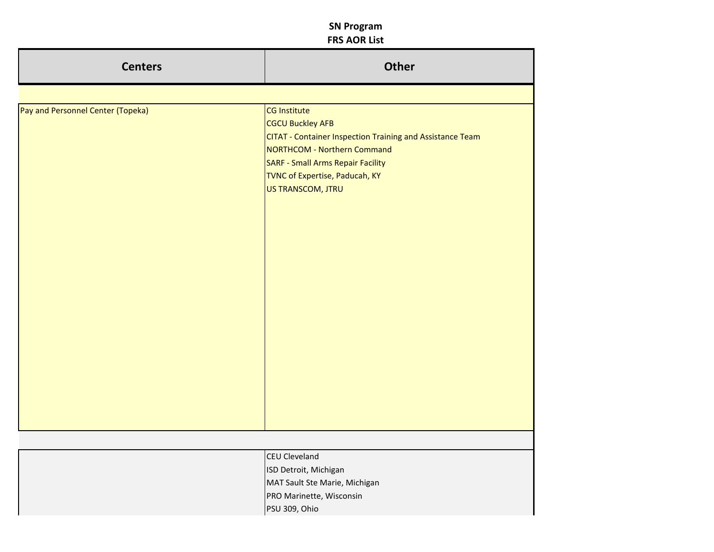| <b>Centers</b>                    | <b>Other</b>                                                                                                                                                                                                                                  |
|-----------------------------------|-----------------------------------------------------------------------------------------------------------------------------------------------------------------------------------------------------------------------------------------------|
|                                   |                                                                                                                                                                                                                                               |
| Pay and Personnel Center (Topeka) | CG Institute<br><b>CGCU Buckley AFB</b><br>CITAT - Container Inspection Training and Assistance Team<br><b>NORTHCOM - Northern Command</b><br><b>SARF - Small Arms Repair Facility</b><br>TVNC of Expertise, Paducah, KY<br>US TRANSCOM, JTRU |
|                                   |                                                                                                                                                                                                                                               |
|                                   | <b>CEU Cleveland</b>                                                                                                                                                                                                                          |
|                                   | ISD Detroit, Michigan                                                                                                                                                                                                                         |
|                                   | MAT Sault Ste Marie, Michigan                                                                                                                                                                                                                 |

PRO Marinette, Wisconsin

PSU 309, Ohio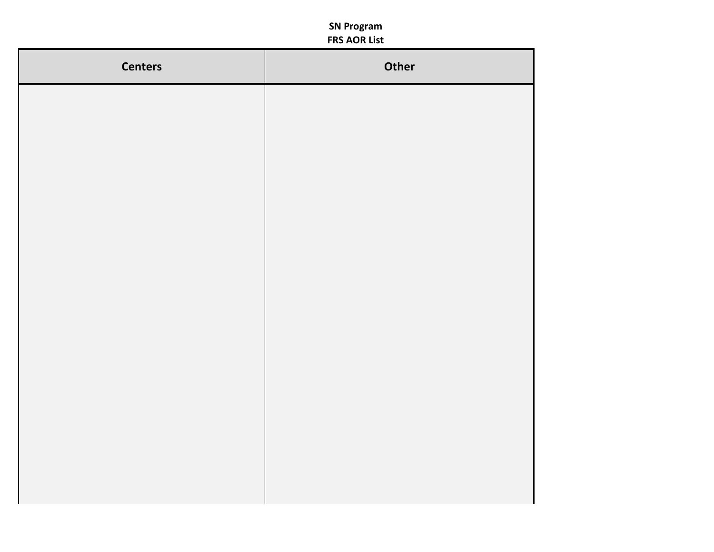| <b>Centers</b> | Other |
|----------------|-------|
|                |       |
|                |       |
|                |       |
|                |       |
|                |       |
|                |       |
|                |       |
|                |       |
|                |       |
|                |       |
|                |       |
|                |       |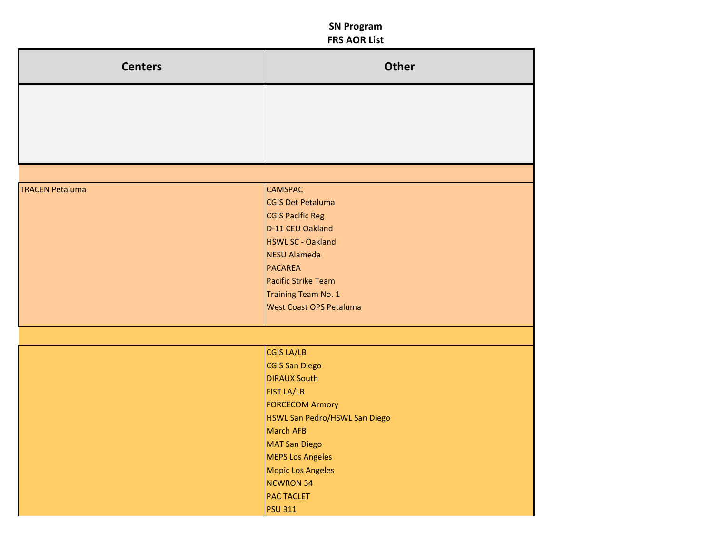| <b>Centers</b>         | <b>Other</b>                          |
|------------------------|---------------------------------------|
|                        |                                       |
|                        |                                       |
|                        |                                       |
|                        |                                       |
|                        |                                       |
| <b>TRACEN Petaluma</b> | <b>CAMSPAC</b>                        |
|                        | <b>CGIS Det Petaluma</b>              |
|                        | <b>CGIS Pacific Reg</b>               |
|                        | D-11 CEU Oakland                      |
|                        | <b>HSWL SC - Oakland</b>              |
|                        | <b>NESU Alameda</b>                   |
|                        | <b>PACAREA</b><br>Pacific Strike Team |
|                        | Training Team No. 1                   |
|                        | <b>West Coast OPS Petaluma</b>        |
|                        |                                       |
|                        |                                       |
|                        | <b>CGIS LA/LB</b>                     |
|                        | <b>CGIS San Diego</b>                 |
|                        | <b>DIRAUX South</b>                   |
|                        | <b>FIST LA/LB</b>                     |
|                        | <b>FORCECOM Armory</b>                |
|                        | HSWL San Pedro/HSWL San Diego         |
|                        | <b>March AFB</b>                      |
|                        | <b>MAT San Diego</b>                  |
|                        | <b>MEPS Los Angeles</b>               |
|                        | <b>Mopic Los Angeles</b>              |
|                        | <b>NCWRON 34</b>                      |
|                        | <b>PAC TACLET</b>                     |
|                        | <b>PSU 311</b>                        |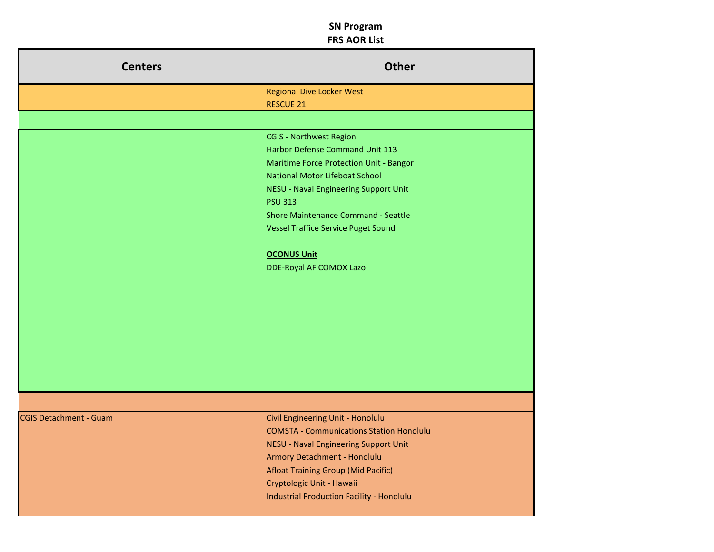| <b>Centers</b>         | Other                                                                  |
|------------------------|------------------------------------------------------------------------|
|                        | Regional Dive Locker West                                              |
|                        | RESCUE 21                                                              |
|                        | CGIS - Northwest Region                                                |
|                        | Harbor Defense Command Unit 113                                        |
|                        | Maritime Force Protection Unit - Bangor                                |
|                        | National Motor Lifeboat School                                         |
|                        | NESU - Naval Engineering Support Unit                                  |
|                        | <b>PSU 313</b>                                                         |
|                        | Shore Maintenance Command - Seattle                                    |
|                        | Vessel Traffice Service Puget Sound                                    |
|                        | OCONUS Unit                                                            |
|                        | DDE-Royal AF COMOX Lazo                                                |
|                        |                                                                        |
|                        |                                                                        |
|                        |                                                                        |
|                        |                                                                        |
|                        |                                                                        |
|                        |                                                                        |
|                        |                                                                        |
|                        |                                                                        |
|                        |                                                                        |
|                        |                                                                        |
| CGIS Detachment - Guam | Civil Engineering Unit - Honolulu                                      |
|                        | COMSTA - Communications Station Honolulu                               |
|                        | NESU - Naval Engineering Support Unit                                  |
|                        | Armory Detachment - Honolulu                                           |
|                        | Afloat Training Group (Mid Pacific)                                    |
|                        | Cryptologic Unit - Hawaii<br>Industrial Production Facility - Honolulu |
|                        |                                                                        |
|                        |                                                                        |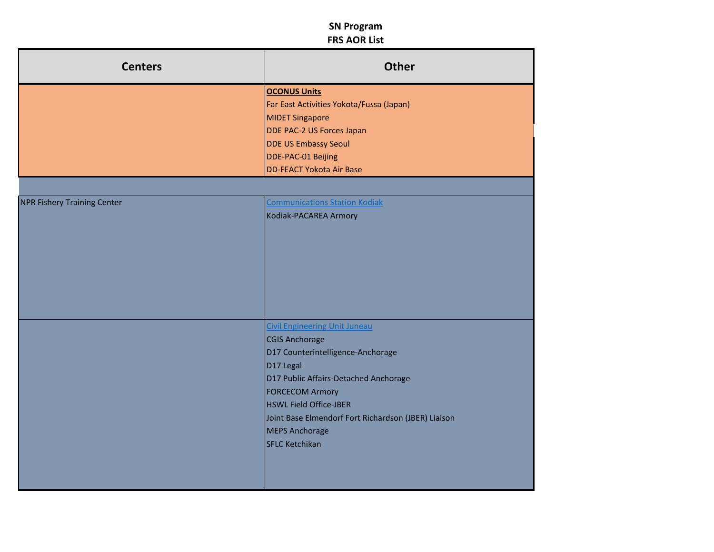| <b>Centers</b>                     | Other                                                                                                                                                                                                                                                                                                                                                                                                                                                                                       |
|------------------------------------|---------------------------------------------------------------------------------------------------------------------------------------------------------------------------------------------------------------------------------------------------------------------------------------------------------------------------------------------------------------------------------------------------------------------------------------------------------------------------------------------|
|                                    | OCONUS Units<br>Far East Activities Yokota/Fussa (Japan)<br>MIDET Singapore<br>DDE PAC-2 US Forces Japan<br>DDE US Embassy Seoul<br>DDE-PAC-01 Beijing<br>DD-FEACT Yokota Air Base                                                                                                                                                                                                                                                                                                          |
| <b>NPR Fishery Training Center</b> | mmunications Station Kodiak<br>Kodiak-PACAREA Armory                                                                                                                                                                                                                                                                                                                                                                                                                                        |
|                                    | <b>Communist City of City Communist City Communist City Communist Communist Communist Communist Communist Communist Communist Communist Communist Communist Communist Communist Communist Communist Communist Communist Communis</b><br>CGIS Anchorage<br>D17 Counterintelligence-Anchorage<br>$D17$ Legal<br>D17 Public Affairs-Detached Anchorage<br>FORCECOM Armory<br>HSWL Field Office-JBER<br>Joint Base Elmendorf Fort Richardson (JBER) Liaison<br>MEPS Anchorage<br>SFLC Ketchikan |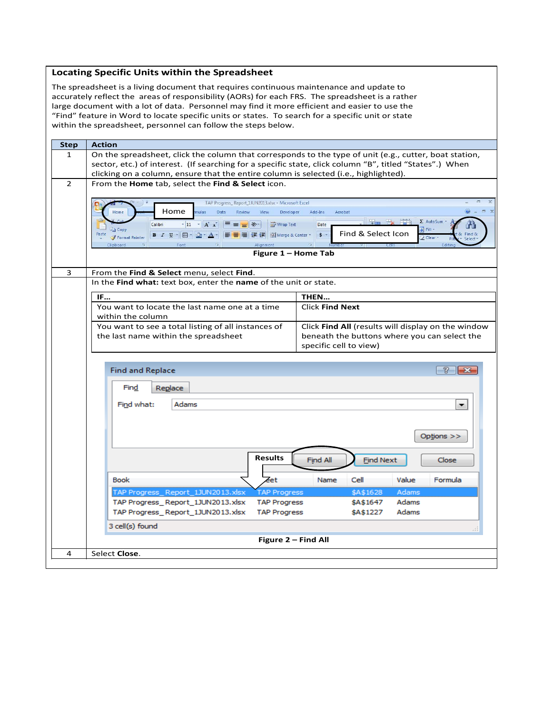#### **Locating Specific Units within the Spreadsheet**

The spreadsheet is a living document that requires continuous maintenance and update to accurately reflect the areas of responsibility (AORs) for each FRS. The spreadsheet is a rather large document with a lot of data. Personnel may find it more efficient and easier to use the "Find" feature in Word to locate specific units or states. To search for a specific unit or state within the spreadsheet, personnel can follow the steps below.

| <b>Step</b>    | <b>Action</b>                                                                                                                                                                                                             |
|----------------|---------------------------------------------------------------------------------------------------------------------------------------------------------------------------------------------------------------------------|
| 1              | On the spreadsheet, click the column that corresponds to the type of unit (e.g., cutter, boat station,                                                                                                                    |
|                | sector, etc.) of interest. (If searching for a specific state, click column "B", titled "States".) When                                                                                                                   |
|                | clicking on a column, ensure that the entire column is selected (i.e., highlighted).                                                                                                                                      |
| $\overline{2}$ | From the Home tab, select the Find & Select icon.                                                                                                                                                                         |
|                |                                                                                                                                                                                                                           |
|                | TAP Progress_Report_1JUN2013.xlsx - Microsoft Excel                                                                                                                                                                       |
|                | Home<br>$\odot$ $=$ $\odot$ $\times$<br>mulas<br>Data<br>Add-Ins<br>Home<br>Review<br>View<br>Developer<br>Acrobat                                                                                                        |
|                | <b>The Fix it it</b><br>Σ AutoSum *<br>Wrap Text<br>Calibri<br>$\mathbf{A} \times \mathbf{A} \times \mathbf{A}$<br>Date                                                                                                   |
|                | $\Box$ Fill $\tau$<br><b>La Copy</b><br>Find & Select Icon<br>Paste<br>■■■■■■■■ ■ ■ ■ Merge & Center *<br>$s -$<br>Find &<br>$B$ $I$ $U$ $\cdot$ $H$ $\cdot$ $\Delta$ $\cdot$ $\Delta$ $\cdot$<br>Format Painter<br>Clear |
|                | Select<br>$\overline{12}$<br>Alignment<br>$\overline{\Gamma_{2}}$<br>15<br>Font<br>Clipboard<br><b>Editing</b>                                                                                                            |
|                | Figure 1 - Home Tab                                                                                                                                                                                                       |
|                |                                                                                                                                                                                                                           |
| 3              | From the Find & Select menu, select Find.                                                                                                                                                                                 |
|                | In the Find what: text box, enter the name of the unit or state.                                                                                                                                                          |
|                | THEN<br>IF                                                                                                                                                                                                                |
|                | You want to locate the last name one at a time<br><b>Click Find Next</b>                                                                                                                                                  |
|                | within the column                                                                                                                                                                                                         |
|                | You want to see a total listing of all instances of<br>Click Find All (results will display on the window                                                                                                                 |
|                | the last name within the spreadsheet<br>beneath the buttons where you can select the                                                                                                                                      |
|                | specific cell to view)                                                                                                                                                                                                    |
|                |                                                                                                                                                                                                                           |
|                | $\mathcal{P}^-$<br><b>Find and Replace</b><br>-23                                                                                                                                                                         |
|                |                                                                                                                                                                                                                           |
|                | Find<br>Replace                                                                                                                                                                                                           |
|                |                                                                                                                                                                                                                           |
|                | Adams<br>Find what:<br>۰.                                                                                                                                                                                                 |
|                |                                                                                                                                                                                                                           |
|                |                                                                                                                                                                                                                           |
|                | Options >>                                                                                                                                                                                                                |
|                |                                                                                                                                                                                                                           |
|                | <b>Results</b><br><b>Find Next</b><br>Find All<br>Close                                                                                                                                                                   |
|                |                                                                                                                                                                                                                           |
|                | eet<br><b>Book</b><br>Value<br>Formula<br>Name<br>Cell                                                                                                                                                                    |
|                | TAP Progress_Report_1JUN2013.xlsx<br>\$A\$1628<br>Adams<br><b>TAP Progress</b>                                                                                                                                            |
|                | Adams<br>TAP Progress_Report_1JUN2013.xlsx<br><b>TAP Progress</b><br>\$A\$1647                                                                                                                                            |
|                | Adams<br>TAP Progress_Report_1JUN2013.xlsx<br><b>TAP Progress</b><br>\$A\$1227                                                                                                                                            |
|                | 3 cell(s) found                                                                                                                                                                                                           |
|                | Figure 2 - Find All                                                                                                                                                                                                       |
| 4              | Select Close.                                                                                                                                                                                                             |
|                |                                                                                                                                                                                                                           |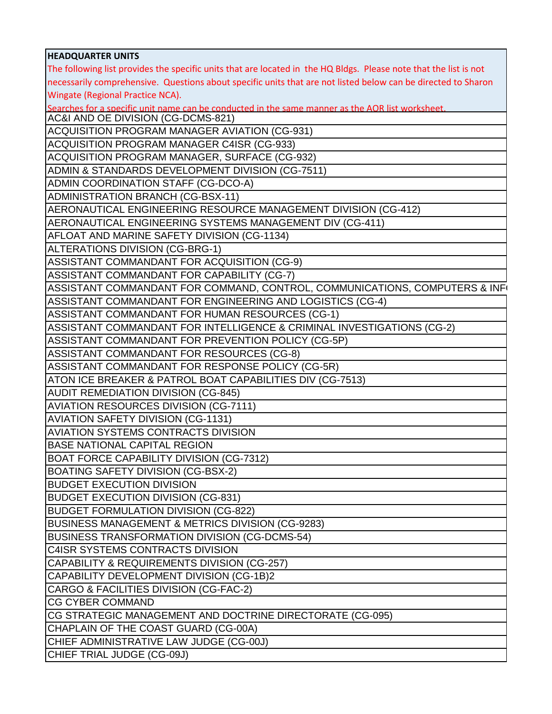| <b>HEADQUARTER UNITS</b>                                                                                                                |
|-----------------------------------------------------------------------------------------------------------------------------------------|
| The following list provides the specific units that are located in the HQ Bldgs. Please note that the list is not                       |
| necessarily comprehensive. Questions about specific units that are not listed below can be directed to Sharon                           |
| Wingate (Regional Practice NCA).                                                                                                        |
| Searches for a specific unit name can be conducted in the same manner as the AOR list worksheet.<br> AC&I AND OE DIVISION (CG-DCMS-821) |
|                                                                                                                                         |
| ACQUISITION PROGRAM MANAGER AVIATION (CG-931)                                                                                           |
| ACQUISITION PROGRAM MANAGER C4ISR (CG-933)                                                                                              |
| ACQUISITION PROGRAM MANAGER, SURFACE (CG-932)                                                                                           |
| ADMIN & STANDARDS DEVELOPMENT DIVISION (CG-7511)                                                                                        |
| ADMIN COORDINATION STAFF (CG-DCO-A)                                                                                                     |
| ADMINISTRATION BRANCH (CG-BSX-11)                                                                                                       |
| AERONAUTICAL ENGINEERING RESOURCE MANAGEMENT DIVISION (CG-412)                                                                          |
| AERONAUTICAL ENGINEERING SYSTEMS MANAGEMENT DIV (CG-411)                                                                                |
| AFLOAT AND MARINE SAFETY DIVISION (CG-1134)                                                                                             |
| ALTERATIONS DIVISION (CG-BRG-1)                                                                                                         |
| ASSISTANT COMMANDANT FOR ACQUISITION (CG-9)                                                                                             |
| ASSISTANT COMMANDANT FOR CAPABILITY (CG-7)                                                                                              |
| ASSISTANT COMMANDANT FOR COMMAND, CONTROL, COMMUNICATIONS, COMPUTERS & INF(                                                             |
| ASSISTANT COMMANDANT FOR ENGINEERING AND LOGISTICS (CG-4)                                                                               |
| ASSISTANT COMMANDANT FOR HUMAN RESOURCES (CG-1)                                                                                         |
| ASSISTANT COMMANDANT FOR INTELLIGENCE & CRIMINAL INVESTIGATIONS (CG-2)                                                                  |
| ASSISTANT COMMANDANT FOR PREVENTION POLICY (CG-5P)                                                                                      |
| <b>ASSISTANT COMMANDANT FOR RESOURCES (CG-8)</b>                                                                                        |
| ASSISTANT COMMANDANT FOR RESPONSE POLICY (CG-5R)                                                                                        |
| ATON ICE BREAKER & PATROL BOAT CAPABILITIES DIV (CG-7513)                                                                               |
| <b>AUDIT REMEDIATION DIVISION (CG-845)</b>                                                                                              |
| <b>AVIATION RESOURCES DIVISION (CG-7111)</b>                                                                                            |
| <b>AVIATION SAFETY DIVISION (CG-1131)</b>                                                                                               |
| <b>AVIATION SYSTEMS CONTRACTS DIVISION</b>                                                                                              |
| <b>BASE NATIONAL CAPITAL REGION</b>                                                                                                     |
| <b>BOAT FORCE CAPABILITY DIVISION (CG-7312)</b>                                                                                         |
| <b>BOATING SAFETY DIVISION (CG-BSX-2)</b>                                                                                               |
| <b>BUDGET EXECUTION DIVISION</b>                                                                                                        |
| <b>BUDGET EXECUTION DIVISION (CG-831)</b>                                                                                               |
| <b>BUDGET FORMULATION DIVISION (CG-822)</b>                                                                                             |
| BUSINESS MANAGEMENT & METRICS DIVISION (CG-9283)                                                                                        |
| BUSINESS TRANSFORMATION DIVISION (CG-DCMS-54)                                                                                           |
| <b>C4ISR SYSTEMS CONTRACTS DIVISION</b>                                                                                                 |
| CAPABILITY & REQUIREMENTS DIVISION (CG-257)                                                                                             |
| CAPABILITY DEVELOPMENT DIVISION (CG-1B)2                                                                                                |
| CARGO & FACILITIES DIVISION (CG-FAC-2)                                                                                                  |
| <b>CG CYBER COMMAND</b>                                                                                                                 |
| CG STRATEGIC MANAGEMENT AND DOCTRINE DIRECTORATE (CG-095)                                                                               |
| CHAPLAIN OF THE COAST GUARD (CG-00A)                                                                                                    |
| CHIEF ADMINISTRATIVE LAW JUDGE (CG-00J)                                                                                                 |
| CHIEF TRIAL JUDGE (CG-09J)                                                                                                              |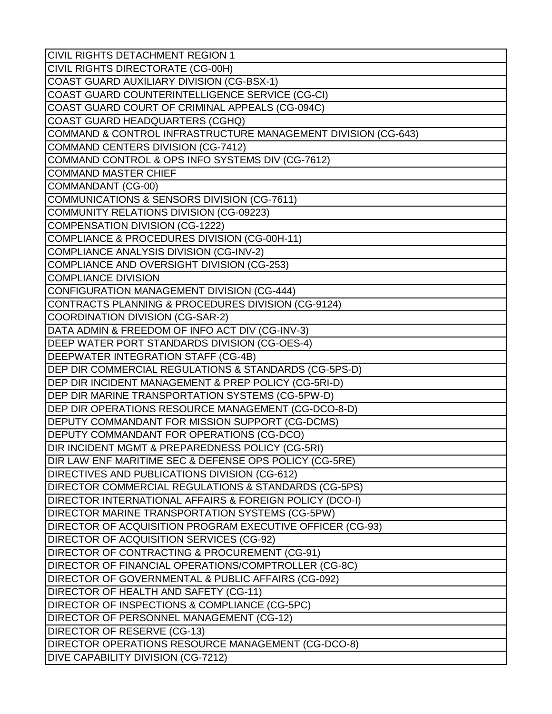| <b>CIVIL RIGHTS DETACHMENT REGION 1</b>                       |
|---------------------------------------------------------------|
| CIVIL RIGHTS DIRECTORATE (CG-00H)                             |
| COAST GUARD AUXILIARY DIVISION (CG-BSX-1)                     |
| COAST GUARD COUNTERINTELLIGENCE SERVICE (CG-CI)               |
| COAST GUARD COURT OF CRIMINAL APPEALS (CG-094C)               |
| COAST GUARD HEADQUARTERS (CGHQ)                               |
| COMMAND & CONTROL INFRASTRUCTURE MANAGEMENT DIVISION (CG-643) |
| COMMAND CENTERS DIVISION (CG-7412)                            |
| COMMAND CONTROL & OPS INFO SYSTEMS DIV (CG-7612)              |
| <b>COMMAND MASTER CHIEF</b>                                   |
| COMMANDANT (CG-00)                                            |
| COMMUNICATIONS & SENSORS DIVISION (CG-7611)                   |
| COMMUNITY RELATIONS DIVISION (CG-09223)                       |
| COMPENSATION DIVISION (CG-1222)                               |
| COMPLIANCE & PROCEDURES DIVISION (CG-00H-11)                  |
| COMPLIANCE ANALYSIS DIVISION (CG-INV-2)                       |
| COMPLIANCE AND OVERSIGHT DIVISION (CG-253)                    |
| <b>COMPLIANCE DIVISION</b>                                    |
| CONFIGURATION MANAGEMENT DIVISION (CG-444)                    |
| CONTRACTS PLANNING & PROCEDURES DIVISION (CG-9124)            |
| COORDINATION DIVISION (CG-SAR-2)                              |
| DATA ADMIN & FREEDOM OF INFO ACT DIV (CG-INV-3)               |
| DEEP WATER PORT STANDARDS DIVISION (CG-OES-4)                 |
| DEEPWATER INTEGRATION STAFF (CG-4B)                           |
| DEP DIR COMMERCIAL REGULATIONS & STANDARDS (CG-5PS-D)         |
| DEP DIR INCIDENT MANAGEMENT & PREP POLICY (CG-5RI-D)          |
| DEP DIR MARINE TRANSPORTATION SYSTEMS (CG-5PW-D)              |
| DEP DIR OPERATIONS RESOURCE MANAGEMENT (CG-DCO-8-D)           |
| DEPUTY COMMANDANT FOR MISSION SUPPORT (CG-DCMS)               |
| DEPUTY COMMANDANT FOR OPERATIONS (CG-DCO)                     |
| DIR INCIDENT MGMT & PREPAREDNESS POLICY (CG-5RI)              |
| DIR LAW ENF MARITIME SEC & DEFENSE OPS POLICY (CG-5RE)        |
| DIRECTIVES AND PUBLICATIONS DIVISION (CG-612)                 |
| DIRECTOR COMMERCIAL REGULATIONS & STANDARDS (CG-5PS)          |
| DIRECTOR INTERNATIONAL AFFAIRS & FOREIGN POLICY (DCO-I)       |
| DIRECTOR MARINE TRANSPORTATION SYSTEMS (CG-5PW)               |
| DIRECTOR OF ACQUISITION PROGRAM EXECUTIVE OFFICER (CG-93)     |
| DIRECTOR OF ACQUISITION SERVICES (CG-92)                      |
| DIRECTOR OF CONTRACTING & PROCUREMENT (CG-91)                 |
| DIRECTOR OF FINANCIAL OPERATIONS/COMPTROLLER (CG-8C)          |
| DIRECTOR OF GOVERNMENTAL & PUBLIC AFFAIRS (CG-092)            |
| DIRECTOR OF HEALTH AND SAFETY (CG-11)                         |
| DIRECTOR OF INSPECTIONS & COMPLIANCE (CG-5PC)                 |
| DIRECTOR OF PERSONNEL MANAGEMENT (CG-12)                      |
| <b>DIRECTOR OF RESERVE (CG-13)</b>                            |
| DIRECTOR OPERATIONS RESOURCE MANAGEMENT (CG-DCO-8)            |
| <b>DIVE CAPABILITY DIVISION (CG-7212)</b>                     |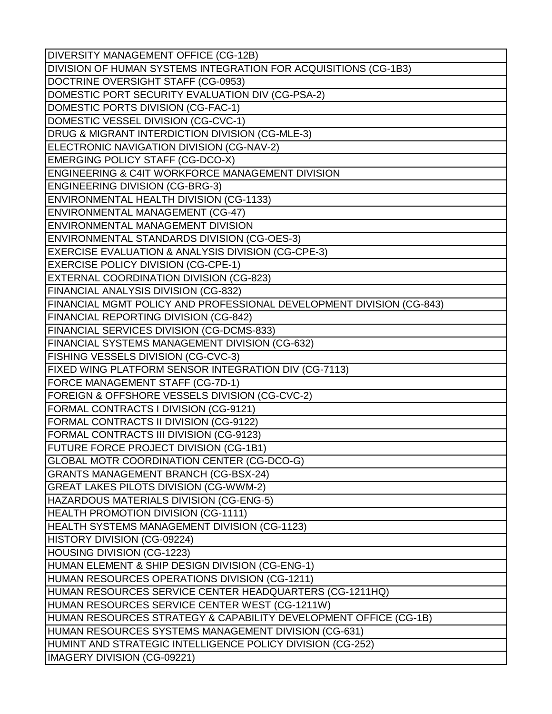| DIVERSITY MANAGEMENT OFFICE (CG-12B)                                 |
|----------------------------------------------------------------------|
| DIVISION OF HUMAN SYSTEMS INTEGRATION FOR ACQUISITIONS (CG-1B3)      |
| DOCTRINE OVERSIGHT STAFF (CG-0953)                                   |
| DOMESTIC PORT SECURITY EVALUATION DIV (CG-PSA-2)                     |
| DOMESTIC PORTS DIVISION (CG-FAC-1)                                   |
| DOMESTIC VESSEL DIVISION (CG-CVC-1)                                  |
| DRUG & MIGRANT INTERDICTION DIVISION (CG-MLE-3)                      |
| ELECTRONIC NAVIGATION DIVISION (CG-NAV-2)                            |
| <b>EMERGING POLICY STAFF (CG-DCO-X)</b>                              |
| ENGINEERING & C4IT WORKFORCE MANAGEMENT DIVISION                     |
| <b>ENGINEERING DIVISION (CG-BRG-3)</b>                               |
| ENVIRONMENTAL HEALTH DIVISION (CG-1133)                              |
| ENVIRONMENTAL MANAGEMENT (CG-47)                                     |
| ENVIRONMENTAL MANAGEMENT DIVISION                                    |
| ENVIRONMENTAL STANDARDS DIVISION (CG-OES-3)                          |
| <b>EXERCISE EVALUATION &amp; ANALYSIS DIVISION (CG-CPE-3)</b>        |
| <b>EXERCISE POLICY DIVISION (CG-CPE-1)</b>                           |
| EXTERNAL COORDINATION DIVISION (CG-823)                              |
| FINANCIAL ANALYSIS DIVISION (CG-832)                                 |
| FINANCIAL MGMT POLICY AND PROFESSIONAL DEVELOPMENT DIVISION (CG-843) |
| FINANCIAL REPORTING DIVISION (CG-842)                                |
| FINANCIAL SERVICES DIVISION (CG-DCMS-833)                            |
| FINANCIAL SYSTEMS MANAGEMENT DIVISION (CG-632)                       |
| FISHING VESSELS DIVISION (CG-CVC-3)                                  |
| FIXED WING PLATFORM SENSOR INTEGRATION DIV (CG-7113)                 |
| FORCE MANAGEMENT STAFF (CG-7D-1)                                     |
| FOREIGN & OFFSHORE VESSELS DIVISION (CG-CVC-2)                       |
| FORMAL CONTRACTS I DIVISION (CG-9121)                                |
| FORMAL CONTRACTS II DIVISION (CG-9122)                               |
| FORMAL CONTRACTS III DIVISION (CG-9123)                              |
| FUTURE FORCE PROJECT DIVISION (CG-1B1)                               |
| GLOBAL MOTR COORDINATION CENTER (CG-DCO-G)                           |
| <b>GRANTS MANAGEMENT BRANCH (CG-BSX-24)</b>                          |
| GREAT LAKES PILOTS DIVISION (CG-WWM-2)                               |
| HAZARDOUS MATERIALS DIVISION (CG-ENG-5)                              |
| <b>HEALTH PROMOTION DIVISION (CG-1111)</b>                           |
| HEALTH SYSTEMS MANAGEMENT DIVISION (CG-1123)                         |
| HISTORY DIVISION (CG-09224)                                          |
| <b>HOUSING DIVISION (CG-1223)</b>                                    |
| HUMAN ELEMENT & SHIP DESIGN DIVISION (CG-ENG-1)                      |
| HUMAN RESOURCES OPERATIONS DIVISION (CG-1211)                        |
| HUMAN RESOURCES SERVICE CENTER HEADQUARTERS (CG-1211HQ)              |
| HUMAN RESOURCES SERVICE CENTER WEST (CG-1211W)                       |
| HUMAN RESOURCES STRATEGY & CAPABILITY DEVELOPMENT OFFICE (CG-1B)     |
| HUMAN RESOURCES SYSTEMS MANAGEMENT DIVISION (CG-631)                 |
| HUMINT AND STRATEGIC INTELLIGENCE POLICY DIVISION (CG-252)           |
| IMAGERY DIVISION (CG-09221)                                          |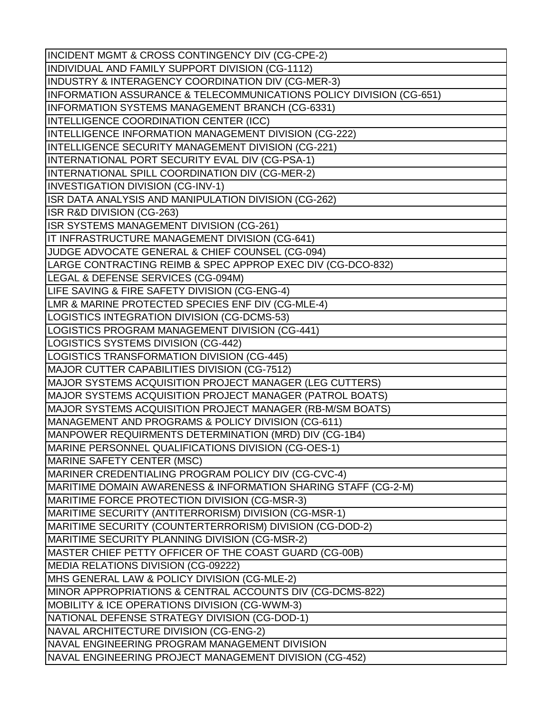INCIDENT MGMT & CROSS CONTINGENCY DIV (CG-CPE-2) INDIVIDUAL AND FAMILY SUPPORT DIVISION (CG-1112) INDUSTRY & INTERAGENCY COORDINATION DIV (CG-MER-3) INFORMATION ASSURANCE & TELECOMMUNICATIONS POLICY DIVISION (CG-651) INFORMATION SYSTEMS MANAGEMENT BRANCH (CG-6331) INTELLIGENCE COORDINATION CENTER (ICC) INTELLIGENCE INFORMATION MANAGEMENT DIVISION (CG-222) INTELLIGENCE SECURITY MANAGEMENT DIVISION (CG-221) INTERNATIONAL PORT SECURITY EVAL DIV (CG-PSA-1) INTERNATIONAL SPILL COORDINATION DIV (CG-MER-2) INVESTIGATION DIVISION (CG-INV-1) ISR DATA ANALYSIS AND MANIPULATION DIVISION (CG-262) ISR R&D DIVISION (CG-263) ISR SYSTEMS MANAGEMENT DIVISION (CG-261) IT INFRASTRUCTURE MANAGEMENT DIVISION (CG-641) JUDGE ADVOCATE GENERAL & CHIEF COUNSEL (CG-094) LARGE CONTRACTING REIMB & SPEC APPROP EXEC DIV (CG-DCO-832) LEGAL & DEFENSE SERVICES (CG-094M) LIFE SAVING & FIRE SAFETY DIVISION (CG-ENG-4) LMR & MARINE PROTECTED SPECIES ENF DIV (CG-MLE-4) LOGISTICS INTEGRATION DIVISION (CG-DCMS-53) LOGISTICS PROGRAM MANAGEMENT DIVISION (CG-441) LOGISTICS SYSTEMS DIVISION (CG-442) LOGISTICS TRANSFORMATION DIVISION (CG-445) MAJOR CUTTER CAPABILITIES DIVISION (CG-7512) MAJOR SYSTEMS ACQUISITION PROJECT MANAGER (LEG CUTTERS) MAJOR SYSTEMS ACQUISITION PROJECT MANAGER (PATROL BOATS) MAJOR SYSTEMS ACQUISITION PROJECT MANAGER (RB-M/SM BOATS) MANAGEMENT AND PROGRAMS & POLICY DIVISION (CG-611) MANPOWER REQUIRMENTS DETERMINATION (MRD) DIV (CG-1B4) MARINE PERSONNEL QUALIFICATIONS DIVISION (CG-OES-1) MARINE SAFETY CENTER (MSC) MARINER CREDENTIALING PROGRAM POLICY DIV (CG-CVC-4) MARITIME DOMAIN AWARENESS & INFORMATION SHARING STAFF (CG-2-M) MARITIME FORCE PROTECTION DIVISION (CG-MSR-3) MARITIME SECURITY (ANTITERRORISM) DIVISION (CG-MSR-1) MARITIME SECURITY (COUNTERTERRORISM) DIVISION (CG-DOD-2) MARITIME SECURITY PLANNING DIVISION (CG-MSR-2) MASTER CHIEF PETTY OFFICER OF THE COAST GUARD (CG-00B) MEDIA RELATIONS DIVISION (CG-09222) MHS GENERAL LAW & POLICY DIVISION (CG-MLE-2) MINOR APPROPRIATIONS & CENTRAL ACCOUNTS DIV (CG-DCMS-822) MOBILITY & ICE OPERATIONS DIVISION (CG-WWM-3) NATIONAL DEFENSE STRATEGY DIVISION (CG-DOD-1) NAVAL ARCHITECTURE DIVISION (CG-ENG-2) NAVAL ENGINEERING PROGRAM MANAGEMENT DIVISION NAVAL ENGINEERING PROJECT MANAGEMENT DIVISION (CG-452)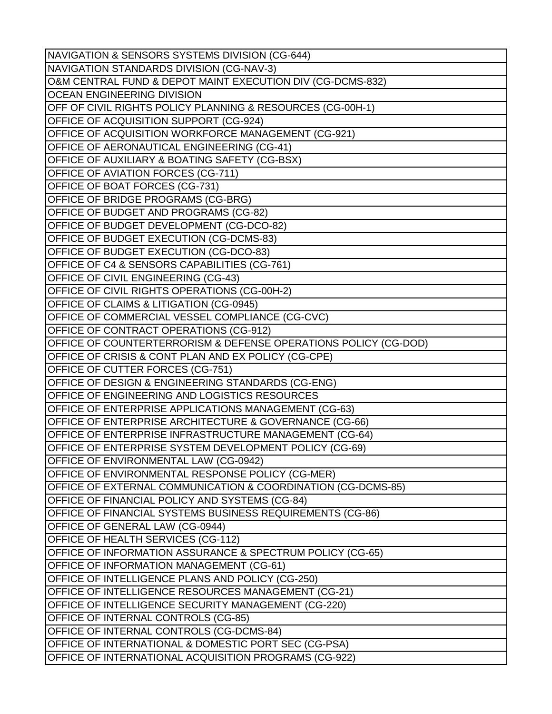| NAVIGATION & SENSORS SYSTEMS DIVISION (CG-644)                  |
|-----------------------------------------------------------------|
| NAVIGATION STANDARDS DIVISION (CG-NAV-3)                        |
| O&M CENTRAL FUND & DEPOT MAINT EXECUTION DIV (CG-DCMS-832)      |
| <b>OCEAN ENGINEERING DIVISION</b>                               |
| OFF OF CIVIL RIGHTS POLICY PLANNING & RESOURCES (CG-00H-1)      |
| OFFICE OF ACQUISITION SUPPORT (CG-924)                          |
| OFFICE OF ACQUISITION WORKFORCE MANAGEMENT (CG-921)             |
| OFFICE OF AERONAUTICAL ENGINEERING (CG-41)                      |
| OFFICE OF AUXILIARY & BOATING SAFETY (CG-BSX)                   |
| <b>OFFICE OF AVIATION FORCES (CG-711)</b>                       |
| OFFICE OF BOAT FORCES (CG-731)                                  |
| OFFICE OF BRIDGE PROGRAMS (CG-BRG)                              |
| OFFICE OF BUDGET AND PROGRAMS (CG-82)                           |
| OFFICE OF BUDGET DEVELOPMENT (CG-DCO-82)                        |
| OFFICE OF BUDGET EXECUTION (CG-DCMS-83)                         |
| OFFICE OF BUDGET EXECUTION (CG-DCO-83)                          |
| OFFICE OF C4 & SENSORS CAPABILITIES (CG-761)                    |
| OFFICE OF CIVIL ENGINEERING (CG-43)                             |
| <b>OFFICE OF CIVIL RIGHTS OPERATIONS (CG-00H-2)</b>             |
| OFFICE OF CLAIMS & LITIGATION (CG-0945)                         |
| OFFICE OF COMMERCIAL VESSEL COMPLIANCE (CG-CVC)                 |
| OFFICE OF CONTRACT OPERATIONS (CG-912)                          |
| OFFICE OF COUNTERTERRORISM & DEFENSE OPERATIONS POLICY (CG-DOD) |
| OFFICE OF CRISIS & CONT PLAN AND EX POLICY (CG-CPE)             |
| OFFICE OF CUTTER FORCES (CG-751)                                |
| OFFICE OF DESIGN & ENGINEERING STANDARDS (CG-ENG)               |
| <b>OFFICE OF ENGINEERING AND LOGISTICS RESOURCES</b>            |
| OFFICE OF ENTERPRISE APPLICATIONS MANAGEMENT (CG-63)            |
| OFFICE OF ENTERPRISE ARCHITECTURE & GOVERNANCE (CG-66)          |
| OFFICE OF ENTERPRISE INFRASTRUCTURE MANAGEMENT (CG-64)          |
| OFFICE OF ENTERPRISE SYSTEM DEVELOPMENT POLICY (CG-69)          |
| OFFICE OF ENVIRONMENTAL LAW (CG-0942)                           |
| OFFICE OF ENVIRONMENTAL RESPONSE POLICY (CG-MER)                |
| OFFICE OF EXTERNAL COMMUNICATION & COORDINATION (CG-DCMS-85)    |
| OFFICE OF FINANCIAL POLICY AND SYSTEMS (CG-84)                  |
| OFFICE OF FINANCIAL SYSTEMS BUSINESS REQUIREMENTS (CG-86)       |
| OFFICE OF GENERAL LAW (CG-0944)                                 |
| OFFICE OF HEALTH SERVICES (CG-112)                              |
| OFFICE OF INFORMATION ASSURANCE & SPECTRUM POLICY (CG-65)       |
|                                                                 |
| <b>OFFICE OF INFORMATION MANAGEMENT (CG-61)</b>                 |
| OFFICE OF INTELLIGENCE PLANS AND POLICY (CG-250)                |
| OFFICE OF INTELLIGENCE RESOURCES MANAGEMENT (CG-21)             |
| OFFICE OF INTELLIGENCE SECURITY MANAGEMENT (CG-220)             |
| <b>OFFICE OF INTERNAL CONTROLS (CG-85)</b>                      |
| OFFICE OF INTERNAL CONTROLS (CG-DCMS-84)                        |
| OFFICE OF INTERNATIONAL & DOMESTIC PORT SEC (CG-PSA)            |
| OFFICE OF INTERNATIONAL ACQUISITION PROGRAMS (CG-922)           |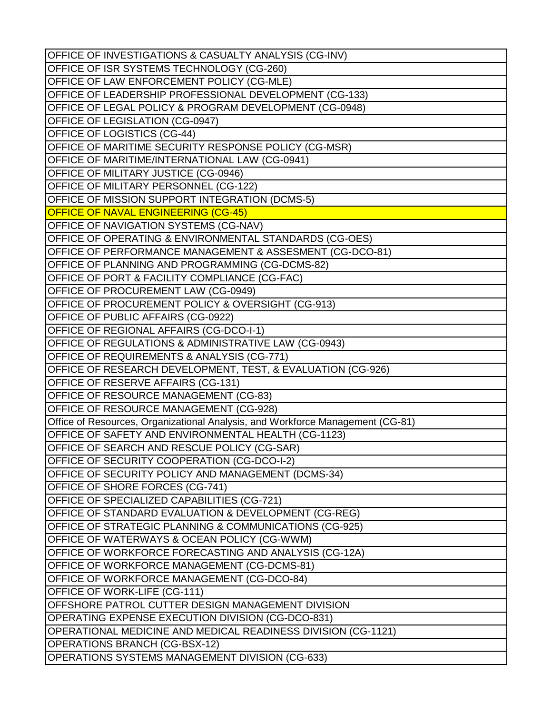OFFICE OF INVESTIGATIONS & CASUALTY ANALYSIS (CG-INV) OFFICE OF ISR SYSTEMS TECHNOLOGY (CG-260) OFFICE OF LAW ENFORCEMENT POLICY (CG-MLE) OFFICE OF LEADERSHIP PROFESSIONAL DEVELOPMENT (CG-133) OFFICE OF LEGAL POLICY & PROGRAM DEVELOPMENT (CG-0948) OFFICE OF LEGISLATION (CG-0947) OFFICE OF LOGISTICS (CG-44) OFFICE OF MARITIME SECURITY RESPONSE POLICY (CG-MSR) OFFICE OF MARITIME/INTERNATIONAL LAW (CG-0941) OFFICE OF MILITARY JUSTICE (CG-0946) OFFICE OF MILITARY PERSONNEL (CG-122) OFFICE OF MISSION SUPPORT INTEGRATION (DCMS-5) OFFICE OF NAVAL ENGINEERING (CG-45) OFFICE OF NAVIGATION SYSTEMS (CG-NAV) OFFICE OF OPERATING & ENVIRONMENTAL STANDARDS (CG-OES) OFFICE OF PERFORMANCE MANAGEMENT & ASSESMENT (CG-DCO-81) OFFICE OF PLANNING AND PROGRAMMING (CG-DCMS-82) OFFICE OF PORT & FACILITY COMPLIANCE (CG-FAC) OFFICE OF PROCUREMENT LAW (CG-0949) OFFICE OF PROCUREMENT POLICY & OVERSIGHT (CG-913) OFFICE OF PUBLIC AFFAIRS (CG-0922) OFFICE OF REGIONAL AFFAIRS (CG-DCO-I-1) OFFICE OF REGULATIONS & ADMINISTRATIVE LAW (CG-0943) OFFICE OF REQUIREMENTS & ANALYSIS (CG-771) OFFICE OF RESEARCH DEVELOPMENT, TEST, & EVALUATION (CG-926) OFFICE OF RESERVE AFFAIRS (CG-131) OFFICE OF RESOURCE MANAGEMENT (CG-83) OFFICE OF RESOURCE MANAGEMENT (CG-928) Office of Resources, Organizational Analysis, and Workforce Management (CG-81) OFFICE OF SAFETY AND ENVIRONMENTAL HEALTH (CG-1123) OFFICE OF SEARCH AND RESCUE POLICY (CG-SAR) OFFICE OF SECURITY COOPERATION (CG-DCO-I-2) OFFICE OF SECURITY POLICY AND MANAGEMENT (DCMS-34) OFFICE OF SHORE FORCES (CG-741) OFFICE OF SPECIALIZED CAPABILITIES (CG-721) OFFICE OF STANDARD EVALUATION & DEVELOPMENT (CG-REG) OFFICE OF STRATEGIC PLANNING & COMMUNICATIONS (CG-925) OFFICE OF WATERWAYS & OCEAN POLICY (CG-WWM) OFFICE OF WORKFORCE FORECASTING AND ANALYSIS (CG-12A) OFFICE OF WORKFORCE MANAGEMENT (CG-DCMS-81) OFFICE OF WORKFORCE MANAGEMENT (CG-DCO-84) OFFICE OF WORK-LIFE (CG-111) OFFSHORE PATROL CUTTER DESIGN MANAGEMENT DIVISION OPERATING EXPENSE EXECUTION DIVISION (CG-DCO-831) OPERATIONAL MEDICINE AND MEDICAL READINESS DIVISION (CG-1121) OPERATIONS BRANCH (CG-BSX-12) OPERATIONS SYSTEMS MANAGEMENT DIVISION (CG-633)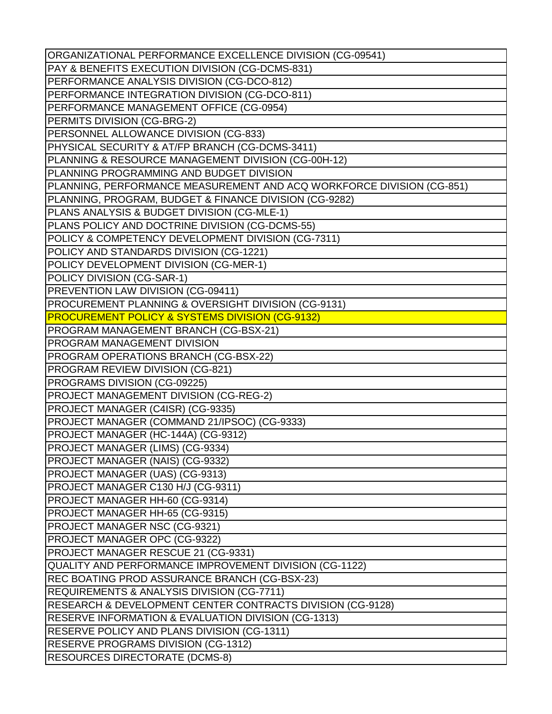| ORGANIZATIONAL PERFORMANCE EXCELLENCE DIVISION (CG-09541)             |
|-----------------------------------------------------------------------|
| PAY & BENEFITS EXECUTION DIVISION (CG-DCMS-831)                       |
| PERFORMANCE ANALYSIS DIVISION (CG-DCO-812)                            |
| PERFORMANCE INTEGRATION DIVISION (CG-DCO-811)                         |
| PERFORMANCE MANAGEMENT OFFICE (CG-0954)                               |
| PERMITS DIVISION (CG-BRG-2)                                           |
| PERSONNEL ALLOWANCE DIVISION (CG-833)                                 |
| PHYSICAL SECURITY & AT/FP BRANCH (CG-DCMS-3411)                       |
| PLANNING & RESOURCE MANAGEMENT DIVISION (CG-00H-12)                   |
| PLANNING PROGRAMMING AND BUDGET DIVISION                              |
| PLANNING, PERFORMANCE MEASUREMENT AND ACQ WORKFORCE DIVISION (CG-851) |
| PLANNING, PROGRAM, BUDGET & FINANCE DIVISION (CG-9282)                |
| PLANS ANALYSIS & BUDGET DIVISION (CG-MLE-1)                           |
| PLANS POLICY AND DOCTRINE DIVISION (CG-DCMS-55)                       |
| POLICY & COMPETENCY DEVELOPMENT DIVISION (CG-7311)                    |
| POLICY AND STANDARDS DIVISION (CG-1221)                               |
| POLICY DEVELOPMENT DIVISION (CG-MER-1)                                |
| POLICY DIVISION (CG-SAR-1)                                            |
| PREVENTION LAW DIVISION (CG-09411)                                    |
| PROCUREMENT PLANNING & OVERSIGHT DIVISION (CG-9131)                   |
| <b>PROCUREMENT POLICY &amp; SYSTEMS DIVISION (CG-9132)</b>            |
| PROGRAM MANAGEMENT BRANCH (CG-BSX-21)                                 |
| PROGRAM MANAGEMENT DIVISION                                           |
| PROGRAM OPERATIONS BRANCH (CG-BSX-22)                                 |
| <b>PROGRAM REVIEW DIVISION (CG-821)</b>                               |
| PROGRAMS DIVISION (CG-09225)                                          |
| PROJECT MANAGEMENT DIVISION (CG-REG-2)                                |
| PROJECT MANAGER (C4ISR) (CG-9335)                                     |
| PROJECT MANAGER (COMMAND 21/IPSOC) (CG-9333)                          |
| PROJECT MANAGER (HC-144A) (CG-9312)                                   |
| PROJECT MANAGER (LIMS) (CG-9334)                                      |
| PROJECT MANAGER (NAIS) (CG-9332)                                      |
| PROJECT MANAGER (UAS) (CG-9313)                                       |
| PROJECT MANAGER C130 H/J (CG-9311)                                    |
| PROJECT MANAGER HH-60 (CG-9314)                                       |
| PROJECT MANAGER HH-65 (CG-9315)                                       |
| PROJECT MANAGER NSC (CG-9321)                                         |
| PROJECT MANAGER OPC (CG-9322)                                         |
| PROJECT MANAGER RESCUE 21 (CG-9331)                                   |
| QUALITY AND PERFORMANCE IMPROVEMENT DIVISION (CG-1122)                |
| REC BOATING PROD ASSURANCE BRANCH (CG-BSX-23)                         |
| REQUIREMENTS & ANALYSIS DIVISION (CG-7711)                            |
| RESEARCH & DEVELOPMENT CENTER CONTRACTS DIVISION (CG-9128)            |
| RESERVE INFORMATION & EVALUATION DIVISION (CG-1313)                   |
| RESERVE POLICY AND PLANS DIVISION (CG-1311)                           |
| <b>RESERVE PROGRAMS DIVISION (CG-1312)</b>                            |
| <b>RESOURCES DIRECTORATE (DCMS-8)</b>                                 |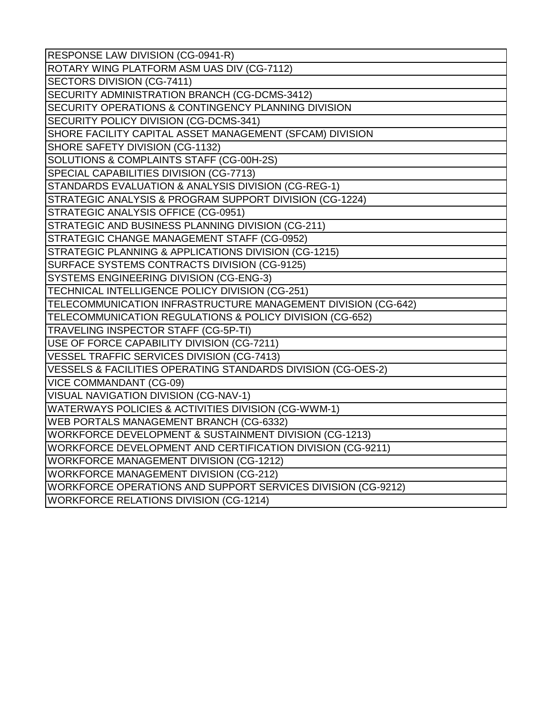| RESPONSE LAW DIVISION (CG-0941-R)                              |
|----------------------------------------------------------------|
| ROTARY WING PLATFORM ASM UAS DIV (CG-7112)                     |
| SECTORS DIVISION (CG-7411)                                     |
| SECURITY ADMINISTRATION BRANCH (CG-DCMS-3412)                  |
| <b>SECURITY OPERATIONS &amp; CONTINGENCY PLANNING DIVISION</b> |
| SECURITY POLICY DIVISION (CG-DCMS-341)                         |
| SHORE FACILITY CAPITAL ASSET MANAGEMENT (SFCAM) DIVISION       |
| SHORE SAFETY DIVISION (CG-1132)                                |
| SOLUTIONS & COMPLAINTS STAFF (CG-00H-2S)                       |
| SPECIAL CAPABILITIES DIVISION (CG-7713)                        |
| STANDARDS EVALUATION & ANALYSIS DIVISION (CG-REG-1)            |
| STRATEGIC ANALYSIS & PROGRAM SUPPORT DIVISION (CG-1224)        |
| STRATEGIC ANALYSIS OFFICE (CG-0951)                            |
| STRATEGIC AND BUSINESS PLANNING DIVISION (CG-211)              |
| STRATEGIC CHANGE MANAGEMENT STAFF (CG-0952)                    |
| STRATEGIC PLANNING & APPLICATIONS DIVISION (CG-1215)           |
| SURFACE SYSTEMS CONTRACTS DIVISION (CG-9125)                   |
| SYSTEMS ENGINEERING DIVISION (CG-ENG-3)                        |
| TECHNICAL INTELLIGENCE POLICY DIVISION (CG-251)                |
| TELECOMMUNICATION INFRASTRUCTURE MANAGEMENT DIVISION (CG-642)  |
| TELECOMMUNICATION REGULATIONS & POLICY DIVISION (CG-652)       |
| TRAVELING INSPECTOR STAFF (CG-5P-TI)                           |
| USE OF FORCE CAPABILITY DIVISION (CG-7211)                     |
| VESSEL TRAFFIC SERVICES DIVISION (CG-7413)                     |
| VESSELS & FACILITIES OPERATING STANDARDS DIVISION (CG-OES-2)   |
| <b>VICE COMMANDANT (CG-09)</b>                                 |
| VISUAL NAVIGATION DIVISION (CG-NAV-1)                          |
| WATERWAYS POLICIES & ACTIVITIES DIVISION (CG-WWM-1)            |
| WEB PORTALS MANAGEMENT BRANCH (CG-6332)                        |
| WORKFORCE DEVELOPMENT & SUSTAINMENT DIVISION (CG-1213)         |
| WORKFORCE DEVELOPMENT AND CERTIFICATION DIVISION (CG-9211)     |
| <b>WORKFORCE MANAGEMENT DIVISION (CG-1212)</b>                 |
| <b>WORKFORCE MANAGEMENT DIVISION (CG-212)</b>                  |
| WORKFORCE OPERATIONS AND SUPPORT SERVICES DIVISION (CG-9212)   |
| <b>WORKFORCE RELATIONS DIVISION (CG-1214)</b>                  |